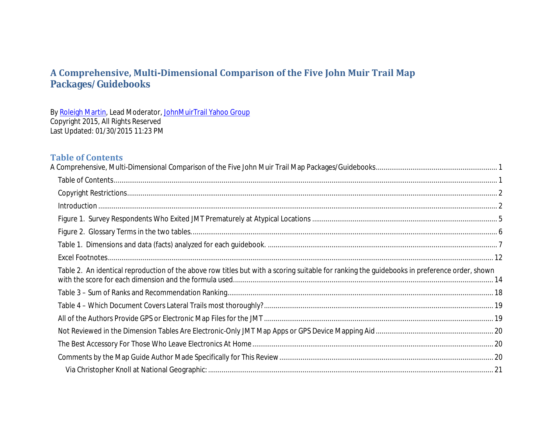<span id="page-0-0"></span>By [Roleigh Martin,](https://plus.google.com/+RoleighMartin/about) Lead Moderator[, JohnMuirTrail Yahoo Group](http://groups.yahoo.com/group/johnmuirtrail/) Copyright 2015, All Rights Reserved Last Updated: 01/30/2015 11:23 PM

### <span id="page-0-1"></span>**Table of Contents**

| Table 2. An identical reproduction of the above row titles but with a scoring suitable for ranking the guidebooks in preference order, shown |  |
|----------------------------------------------------------------------------------------------------------------------------------------------|--|
|                                                                                                                                              |  |
|                                                                                                                                              |  |
|                                                                                                                                              |  |
|                                                                                                                                              |  |
|                                                                                                                                              |  |
|                                                                                                                                              |  |
|                                                                                                                                              |  |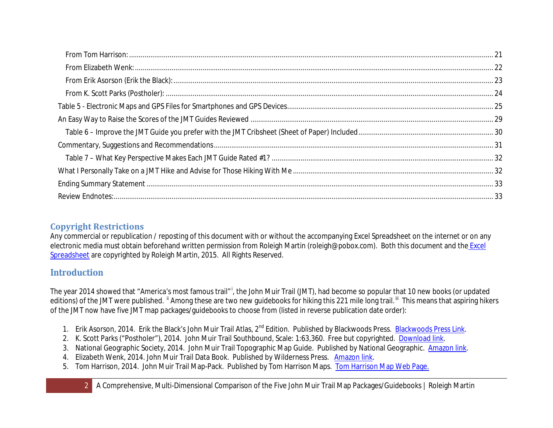# <span id="page-1-0"></span>**Copyright Restrictions**

Any commercial or republication / reposting of this document with or without the accompanying Excel Spreadsheet on the internet or on any electronic media must obtain beforehand written permission from Roleigh Martin (roleigh@pobox.com). Both this document and the Excel [Spreadsheet](https://drive.google.com/file/d/0B7L_TrVYTWZRbkdjQnZRSDc5TzA/view?usp=sharing) are copyrighted by Roleigh Martin, 2015. All Rights Reserved.

# <span id="page-1-1"></span>**Introduction**

The year 2014 showed that "Amer[i](#page-32-2)ca's most famous trail"<sup>i</sup>, the John Muir Trail (JMT), had become so popular that 10 new books (or updated editions) of the JMT were published. <sup>"</sup> Among these are two new guidebooks for hiking this 221 mile long trail. <sup>""</sup> This means that aspiring hikers of the JMT now have five JMT map packages/guidebooks to choose from (listed in reverse publication date order):

- 1. Erik Asorson, 2014. Erik the Black's John Muir Trail Atlas, 2<sup>nd</sup> Edition. Published by Blackwoods Press. [Blackwoods Press Link.](http://blackwoodspress.com/john-muir-trail/maps/atlas/)
- 2. K. Scott Parks ("Postholer"), 2014. John Muir Trail Southbound, Scale: 1:63,360. Free but copyrighted. [Download link.](http://postholer.com/JMTMaps)
- 3. National Geographic Society, 2014. John Muir Trail Topographic Map Guide. Published by National Geographic. [Amazon link.](http://www.amazon.com/Trail-National-Geographic-Trails-Illustrated/dp/1566956897/)
- 4. Elizabeth Wenk, 2014. John Muir Trail Data Book. Published by Wilderness Press. [Amazon link.](http://www.amazon.com/John-Muir-Trail-Data-Book/dp/0899977707/)
- 5. Tom Harrison, 2014. John Muir Trail Map-Pack. Published by Tom Harrison Maps. [Tom Harrison Map Web Page.](http://www.tomharrisonmaps.com/)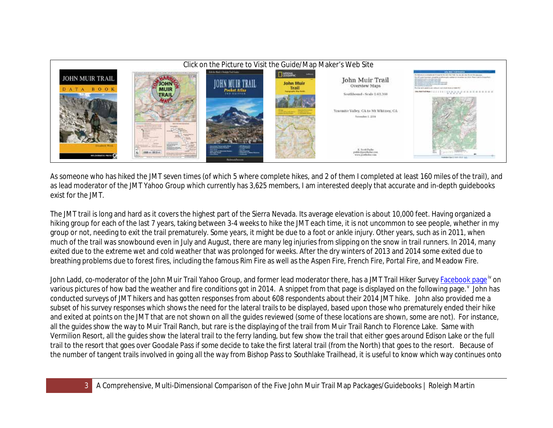

As someone who has hiked the JMT seven times (of which 5 where complete hikes, and 2 of them I completed at least 160 miles of the trail), and as lead moderator of the JMT Yahoo Group which currently has 3,625 members, I am interested deeply that accurate and in-depth guidebooks exist for the JMT.

The JMT trail is long and hard as it covers the highest part of the Sierra Nevada. Its average elevation is about 10,000 feet. Having organized a hiking group for each of the last 7 years, taking between 3-4 weeks to hike the JMT each time, it is not uncommon to see people, whether in my group or not, needing to exit the trail prematurely. Some years, it might be due to a foot or ankle injury. Other years, such as in 2011, when much of the trail was snowbound even in July and August, there are many leg injuries from slipping on the snow in trail runners. In 2014, many exited due to the extreme wet and cold weather that was prolonged for weeks. After the dry winters of 2013 and 2014 some exited due to breathing problems due to forest fires, including the famous Rim Fire as well as the Aspen Fire, French Fire, Portal Fire, and Meadow Fire.

John Ladd, co-moderator of the John Muir Trail Yahoo Group, and former lead moderator there, has a JMT Trail Hiker Surve[y Facebook page](https://www.facebook.com/media/set/?set=a.703545913060808.1073741829.703516563063743&type=1)<sup>[iv](#page-33-0)</sup> on [v](#page-33-1)arious pictures of how bad the weather and fire conditions got in 2014. A snippet from that page is displayed on the following page. <sup>v</sup> John has conducted surveys of JMT hikers and has gotten responses from about 608 respondents about their 2014 JMT hike. John also provided me a subset of his survey responses which shows the need for the lateral trails to be displayed, based upon those who prematurely ended their hike and exited at points on the JMT that are not shown on all the guides reviewed (some of these locations are shown, some are not). For instance, all the guides show the way to Muir Trail Ranch, but rare is the displaying of the trail from Muir Trail Ranch to Florence Lake. Same with Vermilion Resort, all the guides show the lateral trail to the ferry landing, but few show the trail that either goes around Edison Lake or the full trail to the resort that goes over Goodale Pass if some decide to take the first lateral trail (from the North) that goes to the resort. Because of the number of tangent trails involved in going all the way from Bishop Pass to Southlake Trailhead, it is useful to know which way continues onto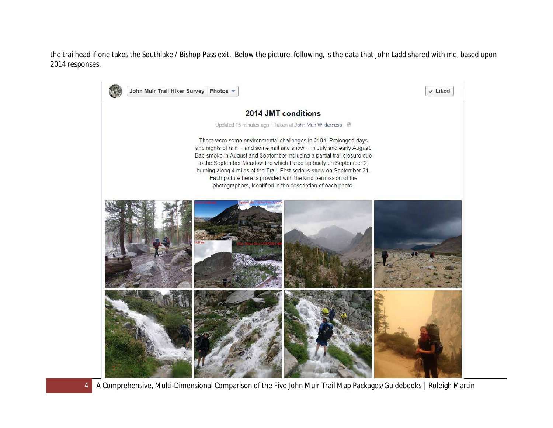the trailhead if one takes the Southlake / Bishop Pass exit. Below the picture, following, is the data that John Ladd shared with me, based upon 2014 responses.



4 A Comprehensive, Multi-Dimensional Comparison of the Five John Muir Trail Map Packages/Guidebooks | Roleigh Martin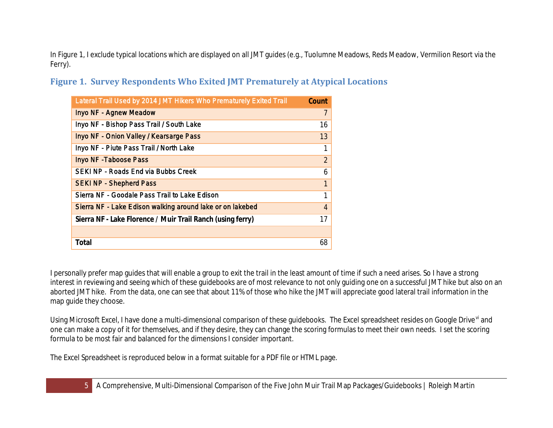In Figure 1, I exclude typical locations which are displayed on all JMT guides (e.g., Tuolumne Meadows, Reds Meadow, Vermilion Resort via the Ferry).

<span id="page-4-0"></span>**Figure 1. Survey Respondents Who Exited JMT Prematurely at Atypical Locations**

| Lateral Trail Used by 2014 JMT Hikers Who Prematurely Exited Trail | Count          |
|--------------------------------------------------------------------|----------------|
| <b>Inyo NF - Agnew Meadow</b>                                      | 7              |
| Inyo NF - Bishop Pass Trail / South Lake                           | 16             |
| Inyo NF - Onion Valley / Kearsarge Pass                            | 13             |
| Inyo NF - Piute Pass Trail / North Lake                            | 1              |
| <b>Inyo NF - Taboose Pass</b>                                      | $\overline{2}$ |
| <b>SEKI NP - Roads End via Bubbs Creek</b>                         | 6              |
| <b>SEKI NP - Shepherd Pass</b>                                     | $\mathbf{1}$   |
| Sierra NF - Goodale Pass Trail to Lake Edison                      | 1              |
| Sierra NF - Lake Edison walking around lake or on lakebed          | $\overline{4}$ |
| Sierra NF - Lake Florence / Muir Trail Ranch (using ferry)         | 17             |
|                                                                    |                |
| Total                                                              | 68             |

I personally prefer map guides that will enable a group to exit the trail in the least amount of time if such a need arises. So I have a strong interest in reviewing and seeing which of these guidebooks are of most relevance to not only guiding one on a successful JMT hike but also on an aborted JMT hike. From the data, one can see that about 11% of those who hike the JMT will appreciate good lateral trail information in the map guide they choose.

Using Microsoft Excel, I have done a multi-dimensional comparison of these guidebooks. The Excel spreadsheet resides on Google Drive [vi](#page-33-2) and one can make a copy of it for themselves, and if they desire, they can change the scoring formulas to meet their own needs. I set the scoring formula to be most fair and balanced for the dimensions I consider important.

The Excel Spreadsheet is reproduced below in a format suitable for a PDF file or HTML page.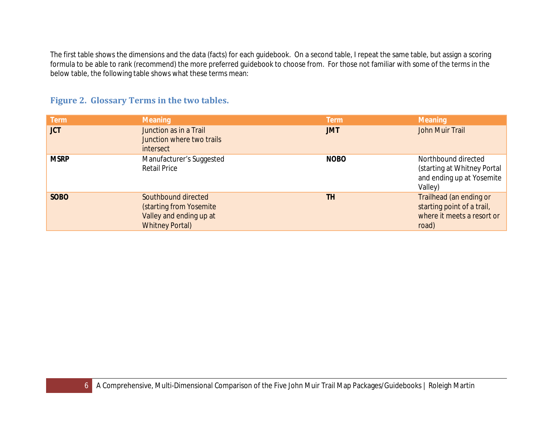The first table shows the dimensions and the data (facts) for each guidebook. On a second table, I repeat the same table, but assign a scoring formula to be able to rank (recommend) the more preferred guidebook to choose from. For those not familiar with some of the terms in the below table, the following table shows what these terms mean:

## <span id="page-5-0"></span>**Figure 2. Glossary Terms in the two tables.**

| <b>Term</b> | <b>Meaning</b>                                                                                      | <b>Term</b> | <b>Meaning</b>                                                                               |
|-------------|-----------------------------------------------------------------------------------------------------|-------------|----------------------------------------------------------------------------------------------|
| <b>JCT</b>  | Junction as in a Trail<br>Junction where two trails<br>intersect                                    | <b>JMT</b>  | John Muir Trail                                                                              |
| <b>MSRP</b> | Manufacturer's Suggested<br><b>Retail Price</b>                                                     | <b>NOBO</b> | Northbound directed<br>(starting at Whitney Portal<br>and ending up at Yosemite<br>Valley)   |
| <b>SOBO</b> | Southbound directed<br>(starting from Yosemite<br>Valley and ending up at<br><b>Whitney Portal)</b> | TH          | Trailhead (an ending or<br>starting point of a trail,<br>where it meets a resort or<br>road) |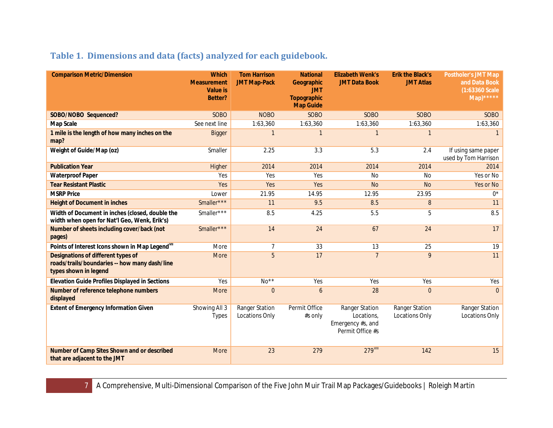# <span id="page-6-0"></span>**Table 1. Dimensions and data (facts) analyzed for each guidebook.**

| <b>Comparison Metric/Dimension</b>                                                                           | <b>Which</b><br><b>Measurement</b><br><b>Value is</b><br><b>Better?</b> | <b>Tom Harrison</b><br><b>JMT Map-Pack</b> | <b>National</b><br>Geographic<br><b>JMT</b><br><b>Topographic</b><br><b>Map Guide</b> | <b>Elizabeth Wenk's</b><br><b>JMT Data Book</b>                       | <b>Erik the Black's</b><br><b>JMT Atlas</b> | <b>Postholer's JMT Map</b><br>and Data Book<br>(1:63360 Scale<br>$Map)$ ***** |
|--------------------------------------------------------------------------------------------------------------|-------------------------------------------------------------------------|--------------------------------------------|---------------------------------------------------------------------------------------|-----------------------------------------------------------------------|---------------------------------------------|-------------------------------------------------------------------------------|
| SOBO/NOBO Sequenced?                                                                                         | <b>SOBO</b>                                                             | <b>NOBO</b>                                | <b>SOBO</b>                                                                           | <b>SOBO</b>                                                           | <b>SOBO</b>                                 | <b>SOBO</b>                                                                   |
| Map Scale                                                                                                    | See next line                                                           | 1:63,360                                   | 1:63,360                                                                              | 1:63,360                                                              | 1:63,360                                    | 1:63,360                                                                      |
| 1 mile is the length of how many inches on the<br>map?                                                       | <b>Bigger</b>                                                           | $\mathbf{1}$                               |                                                                                       | $\mathbf{1}$                                                          | $\mathbf{1}$                                |                                                                               |
| Weight of Guide/Map (oz)                                                                                     | Smaller                                                                 | 2.25                                       | 3.3                                                                                   | 5.3                                                                   | 2.4                                         | If using same paper<br>used by Tom Harrison                                   |
| <b>Publication Year</b>                                                                                      | Higher                                                                  | 2014                                       | 2014                                                                                  | 2014                                                                  | 2014                                        | 2014                                                                          |
| <b>Waterproof Paper</b>                                                                                      | Yes                                                                     | Yes                                        | Yes                                                                                   | <b>No</b>                                                             | <b>No</b>                                   | Yes or No                                                                     |
| <b>Tear Resistant Plastic</b>                                                                                | Yes                                                                     | Yes                                        | Yes                                                                                   | <b>No</b>                                                             | <b>No</b>                                   | Yes or No                                                                     |
| <b>MSRP Price</b>                                                                                            | Lower                                                                   | 21.95                                      | 14.95                                                                                 | 12.95                                                                 | 23.95                                       | $0^*$                                                                         |
| <b>Height of Document in inches</b>                                                                          | Smaller***                                                              | 11                                         | 9.5                                                                                   | 8.5                                                                   | $\, 8$                                      | 11                                                                            |
| Width of Document in inches (closed, double the<br>width when open for Nat'l Geo, Wenk, Erik's)              | Smaller***                                                              | 8.5                                        | 4.25                                                                                  | 5.5                                                                   | 5                                           | 8.5                                                                           |
| Number of sheets including cover/back (not<br>pages)                                                         | Smaller***                                                              | 14                                         | 24                                                                                    | 67                                                                    | 24                                          | 17                                                                            |
| Points of Interest Icons shown in Map Legend <sup>vii</sup>                                                  | More                                                                    | $\overline{7}$                             | 33                                                                                    | 13                                                                    | 25                                          | 19                                                                            |
| Designations of different types of<br>roads/trails/boundaries -- how many dash/line<br>types shown in legend | More                                                                    | 5                                          | 17                                                                                    | $\overline{7}$                                                        | 9                                           | 11                                                                            |
| <b>Elevation Guide Profiles Displayed in Sections</b>                                                        | Yes                                                                     | $No**$                                     | Yes                                                                                   | Yes                                                                   | Yes                                         | Yes                                                                           |
| Number of reference telephone numbers<br>displayed                                                           | More                                                                    | $\mathbf{0}$                               | 6                                                                                     | 28                                                                    | $\overline{0}$                              | $\Omega$                                                                      |
| <b>Extent of Emergency Information Given</b>                                                                 | Showing All 3<br><b>Types</b>                                           | <b>Ranger Station</b><br>Locations Only    | Permit Office<br>#s only                                                              | Ranger Station<br>Locations,<br>Emergency #s, and<br>Permit Office #s | Ranger Station<br><b>Locations Only</b>     | Ranger Station<br>Locations Only                                              |
| Number of Camp Sites Shown and or described<br>that are adjacent to the JMT                                  | <b>More</b>                                                             | 23                                         | 279                                                                                   | $279$ <sup>VIII</sup>                                                 | 142                                         | 15                                                                            |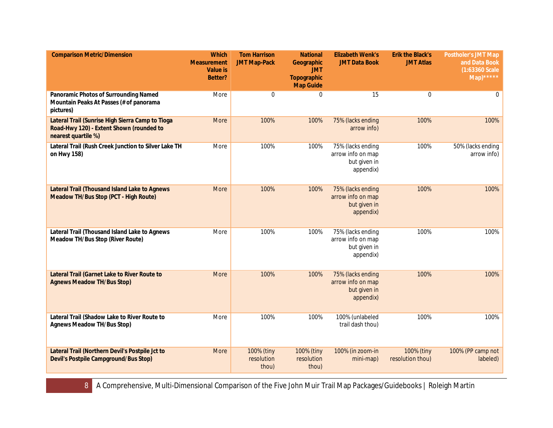| <b>Comparison Metric/Dimension</b>                                                                                  | <b>Which</b><br><b>Measurement</b><br><b>Value is</b><br>Better? | <b>Tom Harrison</b><br><b>JMT Map-Pack</b> | <b>National</b><br>Geographic<br><b>JMT</b><br><b>Topographic</b><br><b>Map Guide</b> | <b>Elizabeth Wenk's</b><br><b>JMT Data Book</b>                     | <b>Erik the Black's</b><br><b>JMT Atlas</b> | Postholer's JMT Map<br>and Data Book<br>(1:63360 Scale<br>$\overline{\mathsf{Map}}$ ***** |
|---------------------------------------------------------------------------------------------------------------------|------------------------------------------------------------------|--------------------------------------------|---------------------------------------------------------------------------------------|---------------------------------------------------------------------|---------------------------------------------|-------------------------------------------------------------------------------------------|
| Panoramic Photos of Surrounding Named<br>Mountain Peaks At Passes (# of panorama<br>pictures)                       | More                                                             | $\mathbf 0$                                | $\mathbf{0}$                                                                          | 15                                                                  | $\mathbf 0$                                 | 0                                                                                         |
| Lateral Trail (Sunrise High Sierra Camp to Tioga<br>Road-Hwy 120) - Extent Shown (rounded to<br>nearest quartile %) | More                                                             | 100%                                       | 100%                                                                                  | 75% (lacks ending<br>arrow info)                                    | 100%                                        | 100%                                                                                      |
| Lateral Trail (Rush Creek Junction to Silver Lake TH<br>on Hwy 158)                                                 | More                                                             | 100%                                       | 100%                                                                                  | 75% (lacks ending<br>arrow info on map<br>but given in<br>appendix) | 100%                                        | 50% (lacks ending<br>arrow info)                                                          |
| Lateral Trail (Thousand Island Lake to Agnews<br>Meadow TH/Bus Stop (PCT - High Route)                              | More                                                             | 100%                                       | 100%                                                                                  | 75% (lacks ending<br>arrow info on map<br>but given in<br>appendix) | 100%                                        | 100%                                                                                      |
| Lateral Trail (Thousand Island Lake to Agnews<br>Meadow TH/Bus Stop (River Route)                                   | More                                                             | 100%                                       | 100%                                                                                  | 75% (lacks ending<br>arrow info on map<br>but given in<br>appendix) | 100%                                        | 100%                                                                                      |
| Lateral Trail (Garnet Lake to River Route to<br><b>Agnews Meadow TH/Bus Stop)</b>                                   | More                                                             | 100%                                       | 100%                                                                                  | 75% (lacks ending<br>arrow info on map<br>but given in<br>appendix) | 100%                                        | 100%                                                                                      |
| Lateral Trail (Shadow Lake to River Route to<br><b>Agnews Meadow TH/Bus Stop)</b>                                   | More                                                             | 100%                                       | 100%                                                                                  | 100% (unlabeled<br>trail dash thou)                                 | 100%                                        | 100%                                                                                      |
| Lateral Trail (Northern Devil's Postpile Jct to<br>Devil's Postpile Campground/Bus Stop)                            | More                                                             | 100% (tiny<br>resolution<br>thou)          | 100% (tiny<br>resolution<br>thou)                                                     | 100% (in zoom-in<br>mini-map)                                       | 100% (tiny<br>resolution thou)              | 100% (PP camp not<br>labeled)                                                             |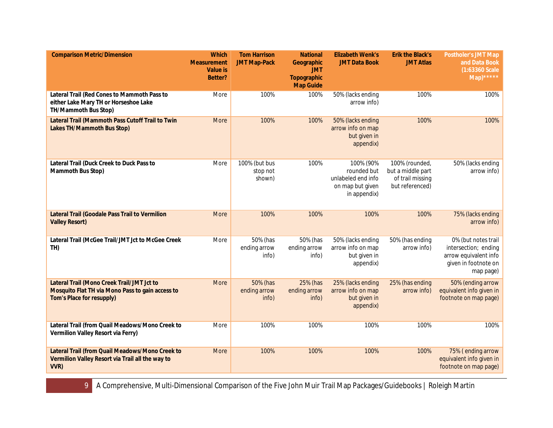| <b>Comparison Metric/Dimension</b>                                                                                          | <b>Which</b><br><b>Measurement</b><br><b>Value is</b><br>Better? | <b>Tom Harrison</b><br><b>JMT Map-Pack</b> | <b>National</b><br>Geographic<br><b>JMT</b><br>Topographic<br><b>Map Guide</b> | <b>Elizabeth Wenk's</b><br><b>JMT Data Book</b>                                    | <b>Erik the Black's</b><br><b>JMT Atlas</b>                                | Postholer's JMT Map<br>and Data Book<br>(1:63360 Scale)<br>$Map)$ *****                                   |
|-----------------------------------------------------------------------------------------------------------------------------|------------------------------------------------------------------|--------------------------------------------|--------------------------------------------------------------------------------|------------------------------------------------------------------------------------|----------------------------------------------------------------------------|-----------------------------------------------------------------------------------------------------------|
| Lateral Trail (Red Cones to Mammoth Pass to<br>either Lake Mary TH or Horseshoe Lake<br>TH/Mammoth Bus Stop)                | More                                                             | 100%                                       | 100%                                                                           | 50% (lacks ending<br>arrow info)                                                   | 100%                                                                       | 100%                                                                                                      |
| Lateral Trail (Mammoth Pass Cutoff Trail to Twin<br>Lakes TH/Mammoth Bus Stop)                                              | <b>More</b>                                                      | 100%                                       | 100%                                                                           | 50% (lacks ending<br>arrow info on map<br>but given in<br>appendix)                | 100%                                                                       | 100%                                                                                                      |
| Lateral Trail (Duck Creek to Duck Pass to<br>Mammoth Bus Stop)                                                              | More                                                             | 100% (but bus<br>stop not<br>shown)        | 100%                                                                           | 100% (90%<br>rounded but<br>unlabeled end info<br>on map but given<br>in appendix) | 100% (rounded,<br>but a middle part<br>of trail missing<br>but referenced) | 50% (lacks ending<br>arrow info)                                                                          |
| Lateral Trail (Goodale Pass Trail to Vermilion<br><b>Valley Resort)</b>                                                     | <b>More</b>                                                      | 100%                                       | 100%                                                                           | 100%                                                                               | 100%                                                                       | 75% (lacks ending<br>arrow info)                                                                          |
| Lateral Trail (McGee Trail/JMT Jct to McGee Creek<br>TH)                                                                    | More                                                             | 50% (has<br>ending arrow<br>info)          | 50% (has<br>ending arrow<br>info)                                              | 50% (lacks ending<br>arrow info on map<br>but given in<br>appendix)                | 50% (has ending<br>arrow info)                                             | 0% (but notes trail<br>intersection; ending<br>arrow equivalent info<br>given in footnote on<br>map page) |
| Lateral Trail (Mono Creek Trail/JMT Jct to<br>Mosquito Flat TH via Mono Pass to gain access to<br>Tom's Place for resupply) | More                                                             | 50% (has<br>ending arrow<br>info)          | 25% (has<br>ending arrow<br>info)                                              | 25% (lacks ending<br>arrow info on map<br>but given in<br>appendix)                | 25% (has ending<br>arrow info)                                             | 50% (ending arrow<br>equivalent info given in<br>footnote on map page)                                    |
| Lateral Trail (from Quail Meadows/Mono Creek to<br>Vermilion Valley Resort via Ferry)                                       | More                                                             | 100%                                       | 100%                                                                           | 100%                                                                               | 100%                                                                       | 100%                                                                                                      |
| Lateral Trail (from Quail Meadows/Mono Creek to<br>Vermilion Valley Resort via Trail all the way to<br>VVR)                 | More                                                             | 100%                                       | 100%                                                                           | 100%                                                                               | 100%                                                                       | 75% (ending arrow<br>equivalent info given in<br>footnote on map page)                                    |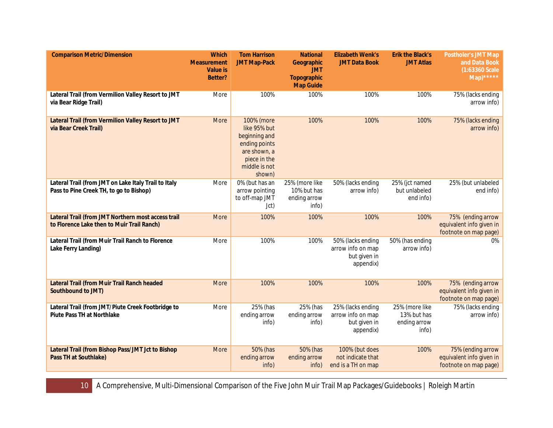| <b>Comparison Metric/Dimension</b>                                                               | <b>Which</b><br><b>Measurement</b><br><b>Value is</b><br>Better? | <b>Tom Harrison</b><br><b>JMT Map-Pack</b>                                                                              | <b>National</b><br>Geographic<br><b>JMT</b><br>Topographic<br><b>Map Guide</b> | <b>Elizabeth Wenk's</b><br><b>JMT Data Book</b>                     | <b>Erik the Black's</b><br><b>JMT Atlas</b>            | <b>Postholer's JMT Map</b><br>and Data Book<br>$(1:63360$ Scale<br>$\overline{\text{Map}}$ ***** |
|--------------------------------------------------------------------------------------------------|------------------------------------------------------------------|-------------------------------------------------------------------------------------------------------------------------|--------------------------------------------------------------------------------|---------------------------------------------------------------------|--------------------------------------------------------|--------------------------------------------------------------------------------------------------|
| Lateral Trail (from Vermilion Valley Resort to JMT<br>via Bear Ridge Trail)                      | More                                                             | 100%                                                                                                                    | 100%                                                                           | 100%                                                                | 100%                                                   | 75% (lacks ending<br>arrow info)                                                                 |
| Lateral Trail (from Vermilion Valley Resort to JMT<br>via Bear Creek Trail)                      | More                                                             | 100% (more<br>like 95% but<br>beginning and<br>ending points<br>are shown, a<br>piece in the<br>middle is not<br>shown) | 100%                                                                           | 100%                                                                | 100%                                                   | 75% (lacks ending<br>arrow info)                                                                 |
| Lateral Trail (from JMT on Lake Italy Trail to Italy<br>Pass to Pine Creek TH, to go to Bishop)  | More                                                             | 0% (but has an<br>arrow pointing<br>to off-map JMT<br>Jct)                                                              | 25% (more like<br>10% but has<br>ending arrow<br>info)                         | 50% (lacks ending<br>arrow info)                                    | 25% (jct named<br>but unlabeled<br>end info)           | 25% (but unlabeled<br>end info)                                                                  |
| Lateral Trail (from JMT Northern most access trail<br>to Florence Lake then to Muir Trail Ranch) | More                                                             | 100%                                                                                                                    | 100%                                                                           | 100%                                                                | 100%                                                   | 75% (ending arrow<br>equivalent info given in<br>footnote on map page)                           |
| Lateral Trail (from Muir Trail Ranch to Florence<br>Lake Ferry Landing)                          | More                                                             | 100%                                                                                                                    | 100%                                                                           | 50% (lacks ending<br>arrow info on map<br>but given in<br>appendix) | 50% (has ending<br>arrow info)                         | 0%                                                                                               |
| Lateral Trail (from Muir Trail Ranch headed<br>Southbound to JMT)                                | <b>More</b>                                                      | 100%                                                                                                                    | 100%                                                                           | 100%                                                                | 100%                                                   | 75% (ending arrow<br>equivalent info given in<br>footnote on map page)                           |
| Lateral Trail (from JMT/Piute Creek Footbridge to<br><b>Piute Pass TH at Northlake</b>           | More                                                             | 25% (has<br>ending arrow<br>info)                                                                                       | 25% (has<br>ending arrow<br>info)                                              | 25% (lacks ending<br>arrow info on map<br>but given in<br>appendix) | 25% (more like<br>13% but has<br>ending arrow<br>info) | 75% (lacks ending<br>arrow info)                                                                 |
| Lateral Trail (from Bishop Pass/JMT Jct to Bishop<br>Pass TH at Southlake)                       | More                                                             | 50% (has<br>ending arrow<br>info)                                                                                       | 50% (has<br>ending arrow<br>info)                                              | 100% (but does<br>not indicate that<br>end is a TH on map           | 100%                                                   | 75% (ending arrow<br>equivalent info given in<br>footnote on map page)                           |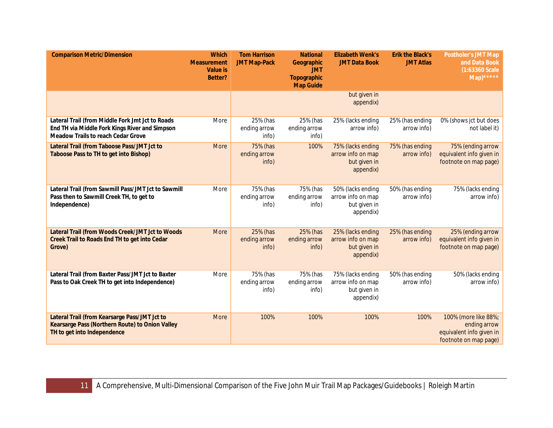| <b>Comparison Metric/Dimension</b>                                                                                                              | <b>Which</b><br><b>Measurement</b><br><b>Value is</b><br>Better? | <b>Tom Harrison</b><br><b>JMT Map-Pack</b> | <b>National</b><br>Geographic<br><b>JMT</b><br><b>Topographic</b><br><b>Map Guide</b> | <b>Elizabeth Wenk's</b><br><b>JMT Data Book</b>                     | <b>Erik the Black's</b><br><b>JMT Atlas</b> | <b>Postholer's JMT Map</b><br>and Data Book<br>(1:63360 Scale<br>$\overline{\text{Map}}$ ***** |
|-------------------------------------------------------------------------------------------------------------------------------------------------|------------------------------------------------------------------|--------------------------------------------|---------------------------------------------------------------------------------------|---------------------------------------------------------------------|---------------------------------------------|------------------------------------------------------------------------------------------------|
|                                                                                                                                                 |                                                                  |                                            |                                                                                       | but given in<br>appendix)                                           |                                             |                                                                                                |
| Lateral Trail (from Middle Fork Jmt Jct to Roads<br>End TH via Middle Fork Kings River and Simpson<br><b>Meadow Trails to reach Cedar Grove</b> | More                                                             | 25% (has<br>ending arrow<br>info)          | 25% (has<br>ending arrow<br>info)                                                     | 25% (lacks ending<br>arrow info)                                    | 25% (has ending<br>arrow info)              | 0% (shows jct but does<br>not label it)                                                        |
| Lateral Trail (from Taboose Pass/JMT Jct to<br>Taboose Pass to TH to get into Bishop)                                                           | <b>More</b>                                                      | 75% (has<br>ending arrow<br>info)          | 100%                                                                                  | 75% (lacks ending<br>arrow info on map<br>but given in<br>appendix) | 75% (has ending<br>arrow info)              | 75% (ending arrow<br>equivalent info given in<br>footnote on map page)                         |
| Lateral Trail (from Sawmill Pass/JMT Jct to Sawmill<br>Pass then to Sawmill Creek TH, to get to<br>Independence)                                | More                                                             | 75% (has<br>ending arrow<br>info)          | 75% (has<br>ending arrow<br>info)                                                     | 50% (lacks ending<br>arrow info on map<br>but given in<br>appendix) | 50% (has ending<br>arrow info)              | 75% (lacks ending<br>arrow info)                                                               |
| Lateral Trail (from Woods Creek/JMT Jct to Woods<br>Creek Trail to Roads End TH to get into Cedar<br>Grove)                                     | <b>More</b>                                                      | 25% (has<br>ending arrow<br>info)          | 25% (has<br>ending arrow<br>info)                                                     | 25% (lacks ending<br>arrow info on map<br>but given in<br>appendix) | 25% (has ending<br>arrow info)              | 25% (ending arrow<br>equivalent info given in<br>footnote on map page)                         |
| Lateral Trail (from Baxter Pass/JMT Jct to Baxter<br>Pass to Oak Creek TH to get into Independence)                                             | More                                                             | 75% (has<br>ending arrow<br>info)          | 75% (has<br>ending arrow<br>info)                                                     | 75% (lacks ending<br>arrow info on map<br>but given in<br>appendix) | 50% (has ending<br>arrow info)              | 50% (lacks ending<br>arrow info)                                                               |
| Lateral Trail (from Kearsarge Pass/JMT Jct to<br>Kearsarge Pass (Northern Route) to Onion Valley<br>TH to get into Independence                 | More                                                             | 100%                                       | 100%                                                                                  | 100%                                                                | 100%                                        | 100% (more like 88%;<br>ending arrow<br>equivalent info given in<br>footnote on map page)      |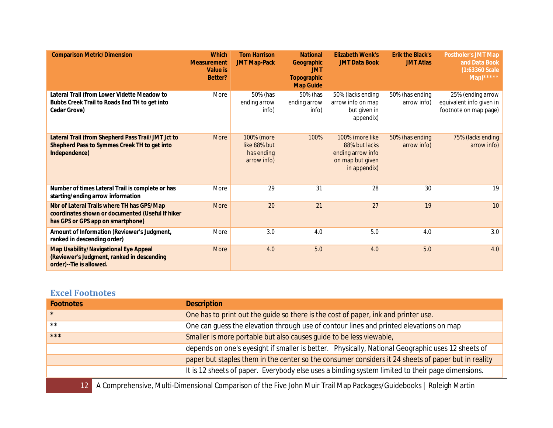| <b>Comparison Metric/Dimension</b>                                                                                                  | <b>Which</b><br><b>Measurement</b><br><b>Value is</b><br>Better? | <b>Tom Harrison</b><br><b>JMT Map-Pack</b>              | <b>National</b><br>Geographic<br><b>JMT</b><br><b>Topographic</b><br><b>Map Guide</b> | <b>Elizabeth Wenk's</b><br><b>JMT Data Book</b>                                           | <b>Erik the Black's</b><br><b>JMT Atlas</b> | <b>Postholer's JMT Map</b><br>and Data Book<br>(1:63360 Scale<br>$Map)$ ***** |
|-------------------------------------------------------------------------------------------------------------------------------------|------------------------------------------------------------------|---------------------------------------------------------|---------------------------------------------------------------------------------------|-------------------------------------------------------------------------------------------|---------------------------------------------|-------------------------------------------------------------------------------|
| Lateral Trail (from Lower Vidette Meadow to<br>Bubbs Creek Trail to Roads End TH to get into<br>Cedar Grove)                        | More                                                             | 50% (has<br>ending arrow<br>info)                       | 50% (has<br>ending arrow<br>info)                                                     | 50% (lacks ending<br>arrow info on map<br>but given in<br>appendix)                       | 50% (has ending<br>arrow info)              | 25% (ending arrow<br>equivalent info given in<br>footnote on map page)        |
| Lateral Trail (from Shepherd Pass Trail/JMT Jct to<br>Shepherd Pass to Symmes Creek TH to get into<br>Independence)                 | <b>More</b>                                                      | 100% (more<br>like 88% but<br>has ending<br>arrow info) | 100%                                                                                  | 100% (more like<br>88% but lacks<br>ending arrow info<br>on map but given<br>in appendix) | 50% (has ending<br>arrow info)              | 75% (lacks ending<br>arrow info)                                              |
| Number of times Lateral Trail is complete or has<br>starting/ending arrow information                                               | More                                                             | 29                                                      | 31                                                                                    | 28                                                                                        | 30                                          | 19                                                                            |
| Nbr of Lateral Trails where TH has GPS/Map<br>coordinates shown or documented (Useful If hiker<br>has GPS or GPS app on smartphone) | <b>More</b>                                                      | 20                                                      | 21                                                                                    | 27                                                                                        | 19                                          | 10                                                                            |
| Amount of Information (Reviewer's Judgment,<br>ranked in descending order)                                                          | More                                                             | 3.0                                                     | 4.0                                                                                   | 5.0                                                                                       | 4.0                                         | 3.0                                                                           |
| Map Usability/Navigational Eye Appeal<br>(Reviewer's Judgment, ranked in descending<br>order)--Tie is allowed.                      | <b>More</b>                                                      | 4.0                                                     | 5.0                                                                                   | 4.0                                                                                       | 5.0                                         | 4.0                                                                           |

# <span id="page-11-0"></span>**Excel Footnotes**

| <b>Footnotes</b> | <b>Description</b>                                                                                  |
|------------------|-----------------------------------------------------------------------------------------------------|
| $\star$          | One has to print out the guide so there is the cost of paper, ink and printer use.                  |
| $***$            | One can guess the elevation through use of contour lines and printed elevations on map              |
| $***$            | Smaller is more portable but also causes quide to be less viewable,                                 |
|                  | depends on one's eyesight if smaller is better. Physically, National Geographic uses 12 sheets of   |
|                  | paper but staples them in the center so the consumer considers it 24 sheets of paper but in reality |
|                  | It is 12 sheets of paper. Everybody else uses a binding system limited to their page dimensions.    |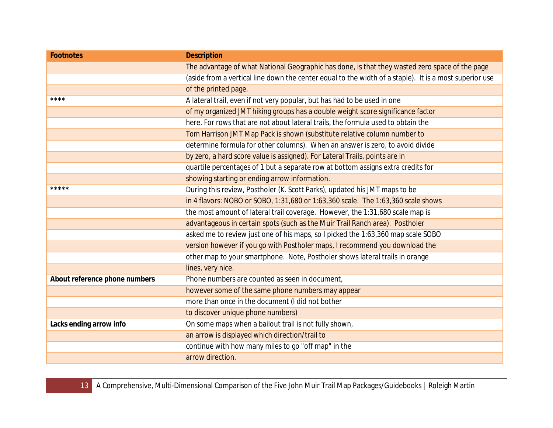| <b>Footnotes</b>              | <b>Description</b>                                                                                     |
|-------------------------------|--------------------------------------------------------------------------------------------------------|
|                               | The advantage of what National Geographic has done, is that they wasted zero space of the page         |
|                               | (aside from a vertical line down the center equal to the width of a staple). It is a most superior use |
|                               | of the printed page.                                                                                   |
| ****                          | A lateral trail, even if not very popular, but has had to be used in one                               |
|                               | of my organized JMT hiking groups has a double weight score significance factor                        |
|                               | here. For rows that are not about lateral trails, the formula used to obtain the                       |
|                               | Tom Harrison JMT Map Pack is shown (substitute relative column number to                               |
|                               | determine formula for other columns). When an answer is zero, to avoid divide                          |
|                               | by zero, a hard score value is assigned). For Lateral Trails, points are in                            |
|                               | quartile percentages of 1 but a separate row at bottom assigns extra credits for                       |
|                               | showing starting or ending arrow information.                                                          |
| *****                         | During this review, Postholer (K. Scott Parks), updated his JMT maps to be                             |
|                               | in 4 flavors: NOBO or SOBO, 1:31,680 or 1:63,360 scale. The 1:63,360 scale shows                       |
|                               | the most amount of lateral trail coverage. However, the 1:31,680 scale map is                          |
|                               | advantageous in certain spots (such as the Muir Trail Ranch area). Postholer                           |
|                               | asked me to review just one of his maps, so I picked the 1:63,360 map scale SOBO                       |
|                               | version however if you go with Postholer maps, I recommend you download the                            |
|                               | other map to your smartphone. Note, Postholer shows lateral trails in orange                           |
|                               | lines, very nice.                                                                                      |
| About reference phone numbers | Phone numbers are counted as seen in document,                                                         |
|                               | however some of the same phone numbers may appear                                                      |
|                               | more than once in the document (I did not bother                                                       |
|                               | to discover unique phone numbers)                                                                      |
| Lacks ending arrow info       | On some maps when a bailout trail is not fully shown,                                                  |
|                               | an arrow is displayed which direction/trail to                                                         |
|                               | continue with how many miles to go "off map" in the                                                    |
|                               | arrow direction.                                                                                       |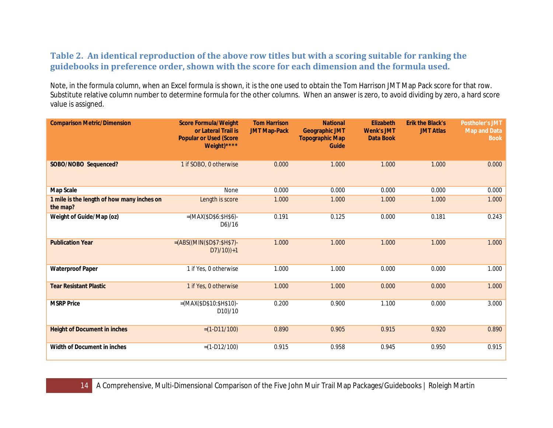## <span id="page-13-0"></span>**Table 2. An identical reproduction of the above row titles but with a scoring suitable for ranking the guidebooks in preference order, shown with the score for each dimension and the formula used.**

Note, in the formula column, when an Excel formula is shown, it is the one used to obtain the Tom Harrison JMT Map Pack score for that row. Substitute relative column number to determine formula for the other columns. When an answer is zero, to avoid dividing by zero, a hard score value is assigned.

| <b>Comparison Metric/Dimension</b>                     | <b>Score Formula/Weight</b><br>or Lateral Trail is<br><b>Popular or Used (Score</b><br>Weight)**** | <b>Tom Harrison</b><br><b>JMT Map-Pack</b> | <b>National</b><br><b>Geographic JMT</b><br><b>Topographic Map</b><br>Guide | <b>Elizabeth</b><br><b>Wenk's JMT</b><br><b>Data Book</b> | <b>Erik the Black's</b><br><b>JMT Atlas</b> | <b>Postholer's JMT</b><br><b>Map and Data</b><br><b>Book</b> |
|--------------------------------------------------------|----------------------------------------------------------------------------------------------------|--------------------------------------------|-----------------------------------------------------------------------------|-----------------------------------------------------------|---------------------------------------------|--------------------------------------------------------------|
| SOBO/NOBO Sequenced?                                   | 1 if SOBO, 0 otherwise                                                                             | 0.000                                      | 1.000                                                                       | 1.000                                                     | 1.000                                       | 0.000                                                        |
| Map Scale                                              | None                                                                                               | 0.000                                      | 0.000                                                                       | 0.000                                                     | 0.000                                       | 0.000                                                        |
| 1 mile is the length of how many inches on<br>the map? | Length is score                                                                                    | 1.000                                      | 1.000                                                                       | 1.000                                                     | 1.000                                       | 1.000                                                        |
| Weight of Guide/Map (oz)                               | $=(MAX($D$6:$H$6)$ -<br>D6)/16                                                                     | 0.191                                      | 0.125                                                                       | 0.000                                                     | 0.181                                       | 0.243                                                        |
| <b>Publication Year</b>                                | $=(ABS((MIN($D$7):$H$7)-$<br>$D7$ /10))+1                                                          | 1.000                                      | 1.000                                                                       | 1.000                                                     | 1.000                                       | 1.000                                                        |
| <b>Waterproof Paper</b>                                | 1 if Yes, 0 otherwise                                                                              | 1.000                                      | 1.000                                                                       | 0.000                                                     | 0.000                                       | 1.000                                                        |
| <b>Tear Resistant Plastic</b>                          | 1 if Yes, 0 otherwise                                                                              | 1.000                                      | 1.000                                                                       | 0.000                                                     | 0.000                                       | 1.000                                                        |
| <b>MSRP Price</b>                                      | $=(MAX($D$10: $H$10)-$<br>D10)/10                                                                  | 0.200                                      | 0.900                                                                       | 1.100                                                     | 0.000                                       | 3.000                                                        |
| <b>Height of Document in inches</b>                    | $=(1-D11/100)$                                                                                     | 0.890                                      | 0.905                                                                       | 0.915                                                     | 0.920                                       | 0.890                                                        |
| Width of Document in inches                            | $=(1-D12/100)$                                                                                     | 0.915                                      | 0.958                                                                       | 0.945                                                     | 0.950                                       | 0.915                                                        |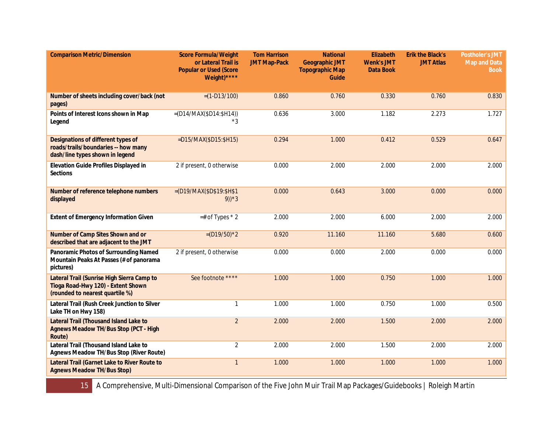| <b>Comparison Metric/Dimension</b>                                                                                  | <b>Score Formula/Weight</b><br>or Lateral Trail is<br><b>Popular or Used (Score</b><br>Weight)**** | <b>Tom Harrison</b><br><b>JMT Map-Pack</b> | <b>National</b><br><b>Geographic JMT</b><br><b>Topographic Map</b><br>Guide | <b>Elizabeth</b><br><b>Wenk's JMT</b><br><b>Data Book</b> | <b>Erik the Black's</b><br><b>JMT Atlas</b> | <b>Postholer's JMT</b><br><b>Map and Data</b><br><b>Book</b> |
|---------------------------------------------------------------------------------------------------------------------|----------------------------------------------------------------------------------------------------|--------------------------------------------|-----------------------------------------------------------------------------|-----------------------------------------------------------|---------------------------------------------|--------------------------------------------------------------|
| Number of sheets including cover/back (not<br>pages)                                                                | $=(1-D13/100)$                                                                                     | 0.860                                      | 0.760                                                                       | 0.330                                                     | 0.760                                       | 0.830                                                        |
| Points of Interest Icons shown in Map<br>Legend                                                                     | $=(D14/MAX(SD14:SH14))$<br>*3                                                                      | 0.636                                      | 3.000                                                                       | 1.182                                                     | 2.273                                       | 1.727                                                        |
| Designations of different types of<br>roads/trails/boundaries -- how many<br>dash/line types shown in legend        | =D15/MAX(\$D15:\$H15)                                                                              | 0.294                                      | 1.000                                                                       | 0.412                                                     | 0.529                                       | 0.647                                                        |
| Elevation Guide Profiles Displayed in<br><b>Sections</b>                                                            | 2 if present, 0 otherwise                                                                          | 0.000                                      | 2.000                                                                       | 2.000                                                     | 2.000                                       | 2.000                                                        |
| Number of reference telephone numbers<br>displayed                                                                  | $= (D19/MAX($D$19:$H$1)$<br>$9) * 3$                                                               | 0.000                                      | 0.643                                                                       | 3.000                                                     | 0.000                                       | 0.000                                                        |
| <b>Extent of Emergency Information Given</b>                                                                        | $=$ # of Types $*$ 2                                                                               | 2.000                                      | 2.000                                                                       | 6.000                                                     | 2.000                                       | 2.000                                                        |
| Number of Camp Sites Shown and or<br>described that are adjacent to the JMT                                         | $=(D19/50)^*2$                                                                                     | 0.920                                      | 11.160                                                                      | 11.160                                                    | 5.680                                       | 0.600                                                        |
| Panoramic Photos of Surrounding Named<br>Mountain Peaks At Passes (# of panorama<br>pictures)                       | 2 if present, 0 otherwise                                                                          | 0.000                                      | 0.000                                                                       | 2.000                                                     | 0.000                                       | 0.000                                                        |
| Lateral Trail (Sunrise High Sierra Camp to<br>Tioga Road-Hwy 120) - Extent Shown<br>(rounded to nearest quartile %) | See footnote ****                                                                                  | 1.000                                      | 1.000                                                                       | 0.750                                                     | 1.000                                       | 1.000                                                        |
| Lateral Trail (Rush Creek Junction to Silver<br>Lake TH on Hwy 158)                                                 | $\mathbf{1}$                                                                                       | 1.000                                      | 1.000                                                                       | 0.750                                                     | 1.000                                       | 0.500                                                        |
| Lateral Trail (Thousand Island Lake to<br><b>Agnews Meadow TH/Bus Stop (PCT - High</b><br>Route)                    | $\overline{2}$                                                                                     | 2.000                                      | 2.000                                                                       | 1.500                                                     | 2.000                                       | 2.000                                                        |
| Lateral Trail (Thousand Island Lake to<br>Agnews Meadow TH/Bus Stop (River Route)                                   | $\overline{2}$                                                                                     | 2.000                                      | 2.000                                                                       | 1.500                                                     | 2.000                                       | 2.000                                                        |
| Lateral Trail (Garnet Lake to River Route to<br><b>Agnews Meadow TH/Bus Stop)</b>                                   | $\mathbf{1}$                                                                                       | 1.000                                      | 1.000                                                                       | 1.000                                                     | 1.000                                       | 1.000                                                        |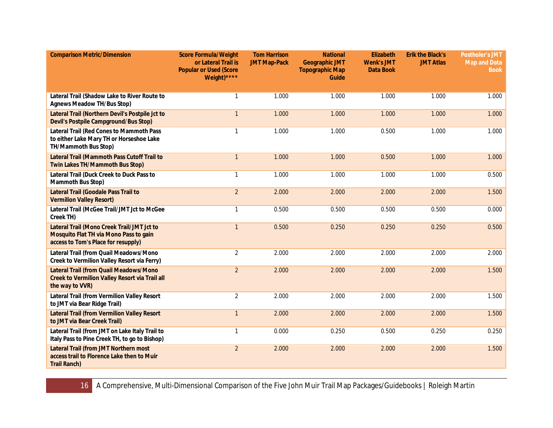| <b>Comparison Metric/Dimension</b>                                                                                          | <b>Score Formula/Weight</b><br>or Lateral Trail is<br><b>Popular or Used (Score</b><br>Weight)**** | <b>Tom Harrison</b><br><b>JMT Map-Pack</b> | <b>National</b><br><b>Geographic JMT</b><br><b>Topographic Map</b><br>Guide | Elizabeth<br><b>Wenk's JMT</b><br><b>Data Book</b> | <b>Erik the Black's</b><br><b>JMT Atlas</b> | <b>Postholer's JMT</b><br><b>Map and Data</b><br><b>Book</b> |
|-----------------------------------------------------------------------------------------------------------------------------|----------------------------------------------------------------------------------------------------|--------------------------------------------|-----------------------------------------------------------------------------|----------------------------------------------------|---------------------------------------------|--------------------------------------------------------------|
| Lateral Trail (Shadow Lake to River Route to<br><b>Agnews Meadow TH/Bus Stop)</b>                                           | $\mathbf{1}$                                                                                       | 1.000                                      | 1.000                                                                       | 1.000                                              | 1.000                                       | 1.000                                                        |
| Lateral Trail (Northern Devil's Postpile Jct to<br>Devil's Postpile Campground/Bus Stop)                                    | $\mathbf{1}$                                                                                       | 1.000                                      | 1.000                                                                       | 1.000                                              | 1.000                                       | 1.000                                                        |
| Lateral Trail (Red Cones to Mammoth Pass<br>to either Lake Mary TH or Horseshoe Lake<br>TH/Mammoth Bus Stop)                | 1                                                                                                  | 1.000                                      | 1.000                                                                       | 0.500                                              | 1.000                                       | 1.000                                                        |
| Lateral Trail (Mammoth Pass Cutoff Trail to<br>Twin Lakes TH/Mammoth Bus Stop)                                              | $\mathbf{1}$                                                                                       | 1.000                                      | 1.000                                                                       | 0.500                                              | 1.000                                       | 1.000                                                        |
| Lateral Trail (Duck Creek to Duck Pass to<br>Mammoth Bus Stop)                                                              | 1                                                                                                  | 1.000                                      | 1.000                                                                       | 1.000                                              | 1.000                                       | 0.500                                                        |
| Lateral Trail (Goodale Pass Trail to<br><b>Vermilion Valley Resort)</b>                                                     | $\overline{2}$                                                                                     | 2.000                                      | 2.000                                                                       | 2.000                                              | 2.000                                       | 1.500                                                        |
| Lateral Trail (McGee Trail/JMT Jct to McGee<br>Creek TH)                                                                    | 1                                                                                                  | 0.500                                      | 0.500                                                                       | 0.500                                              | 0.500                                       | 0.000                                                        |
| Lateral Trail (Mono Creek Trail/JMT Jct to<br>Mosquito Flat TH via Mono Pass to gain<br>access to Tom's Place for resupply) | $\mathbf{1}$                                                                                       | 0.500                                      | 0.250                                                                       | 0.250                                              | 0.250                                       | 0.500                                                        |
| Lateral Trail (from Quail Meadows/Mono<br>Creek to Vermilion Valley Resort via Ferry)                                       | $\overline{2}$                                                                                     | 2.000                                      | 2.000                                                                       | 2.000                                              | 2.000                                       | 2.000                                                        |
| Lateral Trail (from Quail Meadows/Mono<br>Creek to Vermilion Valley Resort via Trail all<br>the way to VVR)                 | $\overline{2}$                                                                                     | 2.000                                      | 2.000                                                                       | 2.000                                              | 2.000                                       | 1.500                                                        |
| Lateral Trail (from Vermilion Valley Resort<br>to JMT via Bear Ridge Trail)                                                 | $\overline{a}$                                                                                     | 2.000                                      | 2.000                                                                       | 2.000                                              | 2.000                                       | 1.500                                                        |
| <b>Lateral Trail (from Vermilion Valley Resort</b><br>to JMT via Bear Creek Trail)                                          | $\mathbf{1}$                                                                                       | 2.000                                      | 2.000                                                                       | 2.000                                              | 2.000                                       | 1.500                                                        |
| Lateral Trail (from JMT on Lake Italy Trail to<br>Italy Pass to Pine Creek TH, to go to Bishop)                             | $\mathbf{1}$                                                                                       | 0.000                                      | 0.250                                                                       | 0.500                                              | 0.250                                       | 0.250                                                        |
| Lateral Trail (from JMT Northern most<br>access trail to Florence Lake then to Muir<br><b>Trail Ranch)</b>                  | $\overline{2}$                                                                                     | 2.000                                      | 2.000                                                                       | 2.000                                              | 2.000                                       | 1.500                                                        |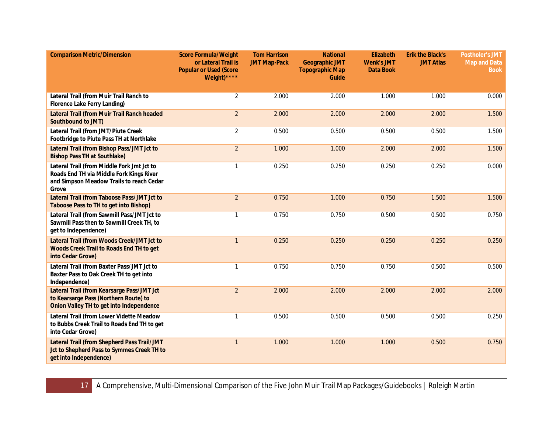| <b>Comparison Metric/Dimension</b>                                                                                                          | <b>Score Formula/Weight</b><br>or Lateral Trail is<br><b>Popular or Used (Score</b><br>Weight)**** | <b>Tom Harrison</b><br><b>JMT Map-Pack</b> | <b>National</b><br><b>Geographic JMT</b><br><b>Topographic Map</b><br>Guide | Elizabeth<br><b>Wenk's JMT</b><br>Data Book | <b>Erik the Black's</b><br><b>JMT Atlas</b> | <b>Postholer's JMT</b><br><b>Map and Data</b><br><b>Book</b> |
|---------------------------------------------------------------------------------------------------------------------------------------------|----------------------------------------------------------------------------------------------------|--------------------------------------------|-----------------------------------------------------------------------------|---------------------------------------------|---------------------------------------------|--------------------------------------------------------------|
| Lateral Trail (from Muir Trail Ranch to<br>Florence Lake Ferry Landing)                                                                     | $\overline{2}$                                                                                     | 2.000                                      | 2.000                                                                       | 1.000                                       | 1.000                                       | 0.000                                                        |
| Lateral Trail (from Muir Trail Ranch headed<br>Southbound to JMT)                                                                           | $\overline{2}$                                                                                     | 2.000                                      | 2.000                                                                       | 2.000                                       | 2.000                                       | 1.500                                                        |
| Lateral Trail (from JMT/Piute Creek<br>Footbridge to Piute Pass TH at Northlake                                                             | $\overline{2}$                                                                                     | 0.500                                      | 0.500                                                                       | 0.500                                       | 0.500                                       | 1.500                                                        |
| Lateral Trail (from Bishop Pass/JMT Jct to<br><b>Bishop Pass TH at Southlake)</b>                                                           | $\overline{2}$                                                                                     | 1.000                                      | 1.000                                                                       | 2.000                                       | 2.000                                       | 1.500                                                        |
| Lateral Trail (from Middle Fork Jmt Jct to<br>Roads End TH via Middle Fork Kings River<br>and Simpson Meadow Trails to reach Cedar<br>Grove | $\mathbf{1}$                                                                                       | 0.250                                      | 0.250                                                                       | 0.250                                       | 0.250                                       | 0.000                                                        |
| Lateral Trail (from Taboose Pass/JMT Jct to<br>Taboose Pass to TH to get into Bishop)                                                       | $\overline{2}$                                                                                     | 0.750                                      | 1.000                                                                       | 0.750                                       | 1.500                                       | 1.500                                                        |
| Lateral Trail (from Sawmill Pass/JMT Jct to<br>Sawmill Pass then to Sawmill Creek TH, to<br>get to Independence)                            | 1                                                                                                  | 0.750                                      | 0.750                                                                       | 0.500                                       | 0.500                                       | 0.750                                                        |
| Lateral Trail (from Woods Creek/JMT Jct to<br>Woods Creek Trail to Roads End TH to get<br>into Cedar Grove)                                 | $\mathbf{1}$                                                                                       | 0.250                                      | 0.250                                                                       | 0.250                                       | 0.250                                       | 0.250                                                        |
| Lateral Trail (from Baxter Pass/JMT Jct to<br>Baxter Pass to Oak Creek TH to get into<br>Independence)                                      | $\mathbf{1}$                                                                                       | 0.750                                      | 0.750                                                                       | 0.750                                       | 0.500                                       | 0.500                                                        |
| Lateral Trail (from Kearsarge Pass/JMT Jct<br>to Kearsarge Pass (Northern Route) to<br>Onion Valley TH to get into Independence             | $\overline{2}$                                                                                     | 2.000                                      | 2.000                                                                       | 2.000                                       | 2.000                                       | 2.000                                                        |
| Lateral Trail (from Lower Vidette Meadow<br>to Bubbs Creek Trail to Roads End TH to get<br>into Cedar Grove)                                | $\mathbf{1}$                                                                                       | 0.500                                      | 0.500                                                                       | 0.500                                       | 0.500                                       | 0.250                                                        |
| Lateral Trail (from Shepherd Pass Trail/JMT<br>Jct to Shepherd Pass to Symmes Creek TH to<br>get into Independence)                         | $\mathbf{1}$                                                                                       | 1.000                                      | 1.000                                                                       | 1.000                                       | 0.500                                       | 0.750                                                        |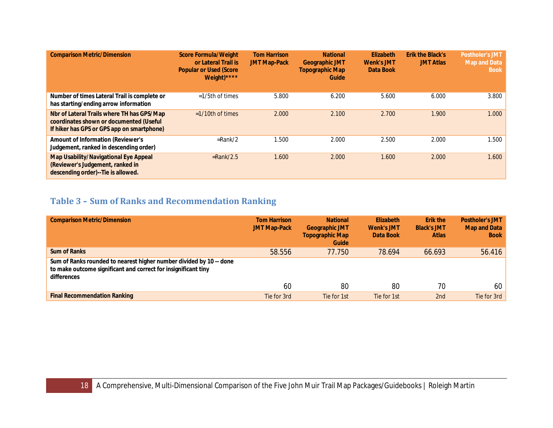| <b>Comparison Metric/Dimension</b>                                                                                                  | <b>Score Formula/Weight</b><br>or Lateral Trail is<br><b>Popular or Used (Score)</b><br>Weight)**** | <b>Tom Harrison</b><br><b>JMT Map-Pack</b> | <b>National</b><br><b>Geographic JMT</b><br><b>Topographic Map</b><br>Guide | Elizabeth<br><b>Wenk's JMT</b><br>Data Book | <b>Erik the Black's</b><br><b>JMT Atlas</b> | <b>Postholer's JMT</b><br><b>Map and Data</b><br><b>Book</b> |
|-------------------------------------------------------------------------------------------------------------------------------------|-----------------------------------------------------------------------------------------------------|--------------------------------------------|-----------------------------------------------------------------------------|---------------------------------------------|---------------------------------------------|--------------------------------------------------------------|
| Number of times Lateral Trail is complete or<br>has starting/ending arrow information                                               | $=1/5$ th of times                                                                                  | 5.800                                      | 6.200                                                                       | 5.600                                       | 6.000                                       | 3.800                                                        |
| Nbr of Lateral Trails where TH has GPS/Map<br>coordinates shown or documented (Useful<br>If hiker has GPS or GPS app on smartphone) | $=1/10$ th of times                                                                                 | 2.000                                      | 2.100                                                                       | 2.700                                       | 1.900                                       | 1.000                                                        |
| <b>Amount of Information (Reviewer's</b><br>Judgement, ranked in descending order)                                                  | $=$ Rank/2                                                                                          | 1.500                                      | 2.000                                                                       | 2.500                                       | 2.000                                       | 1.500                                                        |
| Map Usability/Navigational Eye Appeal<br>(Reviewer's Judgement, ranked in<br>descending order)--Tie is allowed.                     | $=$ Rank/2.5                                                                                        | 1.600                                      | 2.000                                                                       | 1.600                                       | 2.000                                       | 1.600                                                        |

# <span id="page-17-0"></span>**Table 3 – Sum of Ranks and Recommendation Ranking**

| <b>Comparison Metric/Dimension</b>                                                                                                                   | <b>Tom Harrison</b><br><b>JMT Map-Pack</b> | <b>National</b><br><b>Geographic JMT</b><br><b>Topographic Map</b><br>Guide | <b>Elizabeth</b><br><b>Wenk's JMT</b><br>Data Book | Erik the<br><b>Black's JMT</b><br><b>Atlas</b> | <b>Postholer's JMT</b><br><b>Map and Data</b><br><b>Book</b> |
|------------------------------------------------------------------------------------------------------------------------------------------------------|--------------------------------------------|-----------------------------------------------------------------------------|----------------------------------------------------|------------------------------------------------|--------------------------------------------------------------|
| Sum of Ranks                                                                                                                                         | 58.556                                     | 77.750                                                                      | 78.694                                             | 66.693                                         | 56.416                                                       |
| Sum of Ranks rounded to nearest higher number divided by 10 -- done<br>to make outcome significant and correct for insignificant tiny<br>differences | 60                                         | 80                                                                          | 80                                                 | 70                                             | 60                                                           |
|                                                                                                                                                      |                                            |                                                                             |                                                    |                                                |                                                              |
| <b>Final Recommendation Ranking</b>                                                                                                                  | Tie for 3rd                                | Tie for 1st                                                                 | Tie for 1st                                        | 2 <sub>nd</sub>                                | Tie for 3rd                                                  |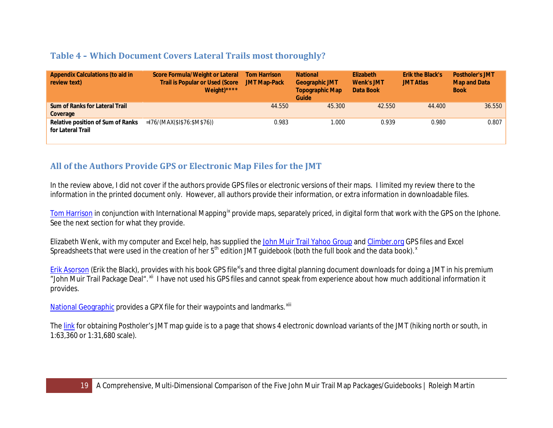## <span id="page-18-0"></span>**Table 4 – Which Document Covers Lateral Trails most thoroughly?**

| <b>Appendix Calculations (to aid in</b><br>review text) | Score Formula/Weight or Lateral<br><b>Trail is Popular or Used (Score</b><br>Weight)**** | <b>Tom Harrison</b><br><b>JMT Map-Pack</b> | <b>National</b><br><b>Geographic JMT</b><br><b>Topographic Map</b><br>Guide | <b>Elizabeth</b><br><b>Wenk's JMT</b><br>Data Book | <b>Erik the Black's</b><br><b>JMT Atlas</b> | <b>Postholer's JMT</b><br><b>Map and Data</b><br><b>Book</b> |
|---------------------------------------------------------|------------------------------------------------------------------------------------------|--------------------------------------------|-----------------------------------------------------------------------------|----------------------------------------------------|---------------------------------------------|--------------------------------------------------------------|
| <b>Sum of Ranks for Lateral Trail</b><br>Coverage       |                                                                                          | 44.550                                     | 45.300                                                                      | 42.550                                             | 44,400                                      | 36.550                                                       |
| Relative position of Sum of Ranks<br>for Lateral Trail  | $=176/(MAX($1$76:$M$76))$                                                                | 0.983                                      | 000.1                                                                       | 0.939                                              | 0.980                                       | 0.807                                                        |

# <span id="page-18-1"></span>**All of the Authors Provide GPS or Electronic Map Files for the JMT**

In the review above, I did not cover if the authors provide GPS files or electronic versions of their maps. I limited my review there to the information in the printed document only. However, all authors provide their information, or extra information in downloadable files.

[Tom Harrison](http://www.tomharrisonmaps.com/) in conjunction with International Mapping<sup>[ix](#page-33-5)</sup> provide maps, separately priced, in digital form that work with the GPS on the Iphone. See the next section for what they provide.

Elizabeth Wenk, with my computer and Excel help, has supplied the [John Muir Trail Yahoo Group](https://groups.yahoo.com/neo/groups/johnmuirtrail/links/all/Maps_and_navigation_001262976905/_Wilderness_Press_waypoints_and_GPS_files__2014_5th_) and [Climber.org](http://climber.org/data/JMT_Wenk.html) GPS files and Excel Spreadsheets that were used in the creation of her 5<sup>th</sup> edition JMT guidebook (both the full book and the data book).<sup>[x](#page-33-6)</sup>

[Erik Asorson](http://blackwoodspress.com/john-muir-trail/maps/atlas/) (Erik the Black), provides with his book GPS file<sup>[xi](#page-33-7)</sup>s and three digital planning document downloads for doing a JMT in his premium "John Muir Trail Package Deal".<sup>xii</sup>l have not used his GPS files and cannot speak from experience about how much additional information it provides.

[National Geographic](http://www.natgeomaps.com/ti_1001) provides a GPX file for their waypoints and landmarks. Xili

The [link](http://postholer.com/JMTMaps) for obtaining Postholer's JMT map guide is to a page that shows 4 electronic download variants of the JMT (hiking north or south, in 1:63,360 or 1:31,680 scale).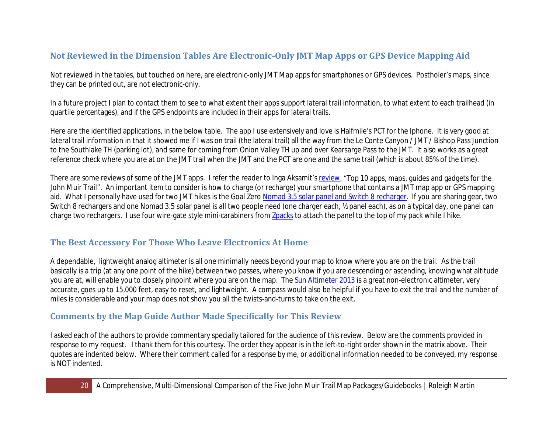# <span id="page-19-0"></span>**Not Reviewed in the Dimension Tables Are Electronic-Only JMT Map Apps or GPS Device Mapping Aid**

Not reviewed in the tables, but touched on here, are electronic-only JMT Map apps for smartphones or GPS devices. Postholer's maps, since they can be printed out, are not electronic-only.

In a future project I plan to contact them to see to what extent their apps support lateral trail information, to what extent to each trailhead (in quartile percentages), and if the GPS endpoints are included in their apps for lateral trails.

Here are the identified applications, in the below table. The app I use extensively and love is Halfmile's PCT for the Iphone. It is very good at lateral trail information in that it showed me if I was on trail (the lateral trail) all the way from the Le Conte Canyon / JMT / Bishop Pass Junction to the Southlake TH (parking lot), and same for coming from Onion Valley TH up and over Kearsarge Pass to the JMT. It also works as a great reference check where you are at on the JMT trail when the JMT and the PCT are one and the same trail (which is about 85% of the time).

There are some reviews of some of the JMT apps. I refer the reader to Inga Aksamit'[s review,](http://www.examiner.com/article/top-10-apps-maps-guides-and-gadgets-for-the-john-muir-trail) "Top 10 apps, maps, guides and gadgets for the John Muir Trail". An important item to consider is how to charge (or recharge) your smartphone that contains a JMT map app or GPS mapping aid. What I personally have used for two JMT hikes is the Goal Zero [Nomad 3.5 solar panel and Switch 8 recharger.](http://www.amazon.com/Goal-Zero-41001-Switch-Recharging/dp/B009KY7S6Q/) If you are sharing gear, two Switch 8 rechargers and one Nomad 3.5 solar panel is all two people need (one charger each, ½ panel each), as on a typical day, one panel can charge two rechargers. I use four wire-gate style mini-carabiners fro[m Zpacks](http://zpacks.com/accessories/carabiner.shtml) to attach the panel to the top of my pack while I hike.

# <span id="page-19-1"></span>**The Best Accessory For Those Who Leave Electronics At Home**

A dependable, lightweight analog altimeter is all one minimally needs beyond your map to know where you are on the trail. As the trail basically is a trip (at any one point of the hike) between two passes, where you know if you are descending or ascending, knowing what altitude you are at, will enable you to closely pinpoint where you are on the map. The [Sun Altimeter 2013](http://www.amazon.com/gp/product/B0012A8UYK/) is a great non-electronic altimeter, very accurate, goes up to 15,000 feet, easy to reset, and lightweight. A compass would also be helpful if you have to exit the trail and the number of miles is considerable and your map does not show you all the twists-and-turns to take on the exit.

## <span id="page-19-2"></span>**Comments by the Map Guide Author Made Specifically for This Review**

I asked each of the authors to provide commentary specially tailored for the audience of this review. Below are the comments provided in response to my request. I thank them for this courtesy. The order they appear is in the left-to-right order shown in the matrix above. Their quotes are indented below. Where their comment called for a response by me, or additional information needed to be conveyed, my response is NOT indented.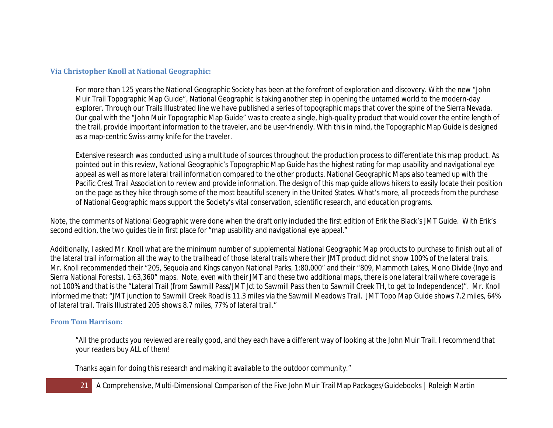#### <span id="page-20-0"></span>**Via Christopher Knoll at National Geographic:**

For more than 125 years the National Geographic Society has been at the forefront of exploration and discovery. With the new "John Muir Trail Topographic Map Guide", National Geographic is taking another step in opening the untamed world to the modern-day explorer. Through our Trails Illustrated line we have published a series of topographic maps that cover the spine of the Sierra Nevada. Our goal with the "John Muir Topographic Map Guide" was to create a single, high-quality product that would cover the entire length of the trail, provide important information to the traveler, and be user-friendly. With this in mind, the Topographic Map Guide is designed as a map-centric Swiss-army knife for the traveler.

Extensive research was conducted using a multitude of sources throughout the production process to differentiate this map product. As pointed out in this review, National Geographic's Topographic Map Guide has the highest rating for map usability and navigational eye appeal as well as more lateral trail information compared to the other products. National Geographic Maps also teamed up with the Pacific Crest Trail Association to review and provide information. The design of this map guide allows hikers to easily locate their position on the page as they hike through some of the most beautiful scenery in the United States. What's more, all proceeds from the purchase of National Geographic maps support the Society's vital conservation, scientific research, and education programs.

Note, the comments of National Geographic were done when the draft only included the first edition of Erik the Black's JMT Guide. With Erik's second edition, the two guides tie in first place for "map usability and navigational eye appeal."

Additionally, I asked Mr. Knoll what are the minimum number of supplemental National Geographic Map products to purchase to finish out all of the lateral trail information all the way to the trailhead of those lateral trails where their JMT product did not show 100% of the lateral trails. Mr. Knoll recommended their "205, Sequoia and Kings canyon National Parks, 1:80,000" and their "809, Mammoth Lakes, Mono Divide (Inyo and Sierra National Forests), 1:63,360" maps. Note, even with their JMT and these two additional maps, there is one lateral trail where coverage is not 100% and that is the "Lateral Trail (from Sawmill Pass/JMT Jct to Sawmill Pass then to Sawmill Creek TH, to get to Independence)". Mr. Knoll informed me that: "JMT junction to Sawmill Creek Road is 11.3 miles via the Sawmill Meadows Trail. JMT Topo Map Guide shows 7.2 miles, 64% of lateral trail. Trails Illustrated 205 shows 8.7 miles, 77% of lateral trail."

#### <span id="page-20-1"></span>**From Tom Harrison:**

"All the products you reviewed are really good, and they each have a different way of looking at the John Muir Trail. I recommend that your readers buy ALL of them!

Thanks again for doing this research and making it available to the outdoor community."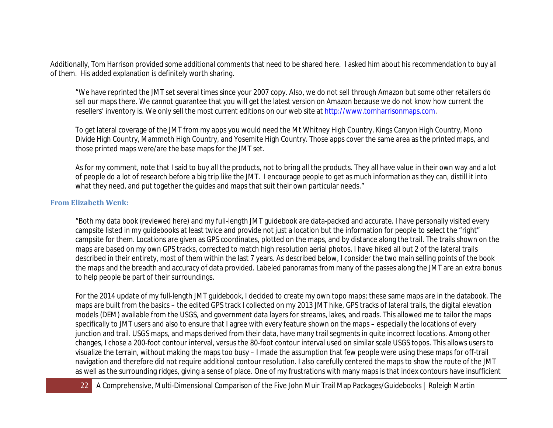Additionally, Tom Harrison provided some additional comments that need to be shared here. I asked him about his recommendation to buy all of them. His added explanation is definitely worth sharing.

"We have reprinted the JMT set several times since your 2007 copy. Also, we do not sell through Amazon but some other retailers do sell our maps there. We cannot guarantee that you will get the latest version on Amazon because we do not know how current the resellers' inventory is. We only sell the most current editions on our web site at [http://www.tomharrisonmaps.com.](http://www.tomharrisonmaps.com/)

To get lateral coverage of the JMT from my apps you would need the Mt Whitney High Country, Kings Canyon High Country, Mono Divide High Country, Mammoth High Country, and Yosemite High Country. Those apps cover the same area as the printed maps, and those printed maps were/are the base maps for the JMT set.

As for my comment, note that I said to buy all the products, not to bring all the products. They all have value in their own way and a lot of people do a lot of research before a big trip like the JMT. I encourage people to get as much information as they can, distill it into what they need, and put together the guides and maps that suit their own particular needs."

#### <span id="page-21-0"></span>**From Elizabeth Wenk:**

"Both my data book (reviewed here) and my full-length JMT guidebook are data-packed and accurate. I have personally visited every campsite listed in my guidebooks at least twice and provide not just a location but the information for people to select the "right" campsite for them. Locations are given as GPS coordinates, plotted on the maps, and by distance along the trail. The trails shown on the maps are based on my own GPS tracks, corrected to match high resolution aerial photos. I have hiked all but 2 of the lateral trails described in their entirety, most of them within the last 7 years. As described below, I consider the two main selling points of the book the maps and the breadth and accuracy of data provided. Labeled panoramas from many of the passes along the JMT are an extra bonus to help people be part of their surroundings.

For the 2014 update of my full-length JMT guidebook, I decided to create my own topo maps; these same maps are in the databook. The maps are built from the basics – the edited GPS track I collected on my 2013 JMT hike, GPS tracks of lateral trails, the digital elevation models (DEM) available from the USGS, and government data layers for streams, lakes, and roads. This allowed me to tailor the maps specifically to JMT users and also to ensure that I agree with every feature shown on the maps – especially the locations of every junction and trail. USGS maps, and maps derived from their data, have many trail segments in quite incorrect locations. Among other changes, I chose a 200-foot contour interval, versus the 80-foot contour interval used on similar scale USGS topos. This allows users to visualize the terrain, without making the maps too busy – I made the assumption that few people were using these maps for off-trail navigation and therefore did not require additional contour resolution. I also carefully centered the maps to show the route of the JMT as well as the surrounding ridges, giving a sense of place. One of my frustrations with many maps is that index contours have insufficient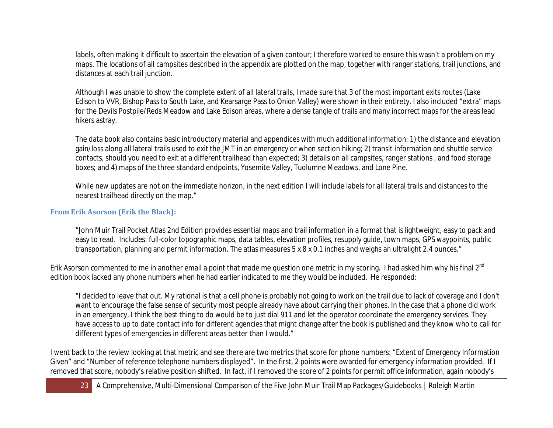labels, often making it difficult to ascertain the elevation of a given contour; I therefore worked to ensure this wasn't a problem on my maps. The locations of all campsites described in the appendix are plotted on the map, together with ranger stations, trail junctions, and distances at each trail junction.

Although I was unable to show the complete extent of all lateral trails, I made sure that 3 of the most important exits routes (Lake Edison to VVR, Bishop Pass to South Lake, and Kearsarge Pass to Onion Valley) were shown in their entirety. I also included "extra" maps for the Devils Postpile/Reds Meadow and Lake Edison areas, where a dense tangle of trails and many incorrect maps for the areas lead hikers astray.

The data book also contains basic introductory material and appendices with much additional information: 1) the distance and elevation gain/loss along all lateral trails used to exit the JMT in an emergency or when section hiking; 2) transit information and shuttle service contacts, should you need to exit at a different trailhead than expected; 3) details on all campsites, ranger stations , and food storage boxes; and 4) maps of the three standard endpoints, Yosemite Valley, Tuolumne Meadows, and Lone Pine.

While new updates are not on the immediate horizon, in the next edition I will include labels for all lateral trails and distances to the nearest trailhead directly on the map."

### <span id="page-22-0"></span>**From Erik Asorson (Erik the Black):**

"John Muir Trail Pocket Atlas 2nd Edition provides essential maps and trail information in a format that is lightweight, easy to pack and easy to read. Includes: full-color topographic maps, data tables, elevation profiles, resupply guide, town maps, GPS waypoints, public transportation, planning and permit information. The atlas measures 5 x 8 x 0.1 inches and weighs an ultralight 2.4 ounces."

Erik Asorson commented to me in another email a point that made me question one metric in my scoring. I had asked him why his final 2<sup>nd</sup> edition book lacked any phone numbers when he had earlier indicated to me they would be included. He responded:

"I decided to leave that out. My rational is that a cell phone is probably not going to work on the trail due to lack of coverage and I don't want to encourage the false sense of security most people already have about carrying their phones. In the case that a phone did work in an emergency, I think the best thing to do would be to just dial 911 and let the operator coordinate the emergency services. They have access to up to date contact info for different agencies that might change after the book is published and they know who to call for different types of emergencies in different areas better than I would."

I went back to the review looking at that metric and see there are two metrics that score for phone numbers: "Extent of Emergency Information Given" and "Number of reference telephone numbers displayed". In the first, 2 points were awarded for emergency information provided. If I removed that score, nobody's relative position shifted. In fact, if I removed the score of 2 points for permit office information, again nobody's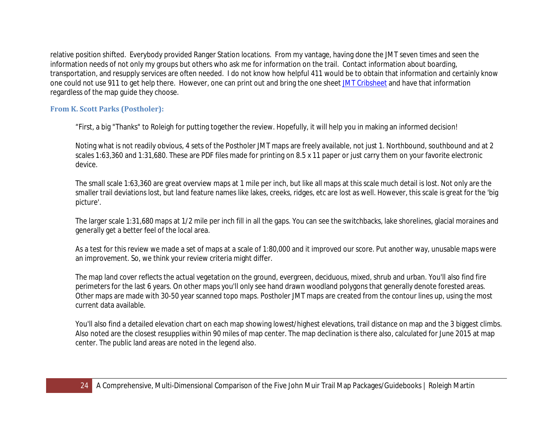relative position shifted. Everybody provided Ranger Station locations. From my vantage, having done the JMT seven times and seen the information needs of not only my groups but others who ask me for information on the trail. Contact information about boarding, transportation, and resupply services are often needed. I do not know how helpful 411 would be to obtain that information and certainly know one could not use 911 to get help there. However, one can print out and bring the one shee[t JMT Cribsheet](http://climber.org/data/JMTCribSheet.pdf) and have that information regardless of the map guide they choose.

### <span id="page-23-0"></span>**From K. Scott Parks (Postholer):**

"First, a big "Thanks" to Roleigh for putting together the review. Hopefully, it will help you in making an informed decision!

Noting what is not readily obvious, 4 sets of the Postholer JMT maps are freely available, not just 1. Northbound, southbound and at 2 scales 1:63,360 and 1:31,680. These are PDF files made for printing on 8.5 x 11 paper or just carry them on your favorite electronic device.

The small scale 1:63,360 are great overview maps at 1 mile per inch, but like all maps at this scale much detail is lost. Not only are the smaller trail deviations lost, but land feature names like lakes, creeks, ridges, etc are lost as well. However, this scale is great for the 'big picture'.

The larger scale 1:31,680 maps at 1/2 mile per inch fill in all the gaps. You can see the switchbacks, lake shorelines, glacial moraines and generally get a better feel of the local area.

As a test for this review we made a set of maps at a scale of 1:80,000 and it improved our score. Put another way, unusable maps were an improvement. So, we think your review criteria might differ.

The map land cover reflects the actual vegetation on the ground, evergreen, deciduous, mixed, shrub and urban. You'll also find fire perimeters for the last 6 years. On other maps you'll only see hand drawn woodland polygons that generally denote forested areas. Other maps are made with 30-50 year scanned topo maps. Postholer JMT maps are created from the contour lines up, using the most current data available.

You'll also find a detailed elevation chart on each map showing lowest/highest elevations, trail distance on map and the 3 biggest climbs. Also noted are the closest resupplies within 90 miles of map center. The map declination is there also, calculated for June 2015 at map center. The public land areas are noted in the legend also.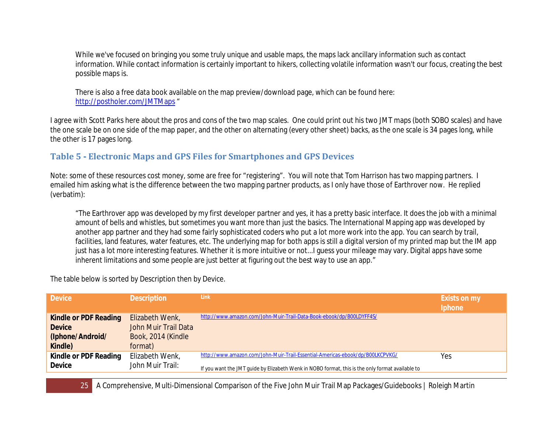While we've focused on bringing you some truly unique and usable maps, the maps lack ancillary information such as contact information. While contact information is certainly important to hikers, collecting volatile information wasn't our focus, creating the best possible maps is.

There is also a free data book available on the map preview/download page, which can be found here: <http://postholer.com/JMTMaps> "

I agree with Scott Parks here about the pros and cons of the two map scales. One could print out his two JMT maps (both SOBO scales) and have the one scale be on one side of the map paper, and the other on alternating (every other sheet) backs, as the one scale is 34 pages long, while the other is 17 pages long.

# <span id="page-24-0"></span>**Table 5 - Electronic Maps and GPS Files for Smartphones and GPS Devices**

Note: some of these resources cost money, some are free for "registering". You will note that Tom Harrison has two mapping partners. I emailed him asking what is the difference between the two mapping partner products, as I only have those of Earthrover now. He replied (verbatim):

"The Earthrover app was developed by my first developer partner and yes, it has a pretty basic interface. It does the job with a minimal amount of bells and whistles, but sometimes you want more than just the basics. The International Mapping app was developed by another app partner and they had some fairly sophisticated coders who put a lot more work into the app. You can search by trail, facilities, land features, water features, etc. The underlying map for both apps is still a digital version of my printed map but the IM app just has a lot more interesting features. Whether it is more intuitive or not...I guess your mileage may vary. Digital apps have some inherent limitations and some people are just better at figuring out the best way to use an app."

The table below is sorted by Description then by Device.

| <b>Device</b>         | <b>Description</b>   | Link                                                                                             | Exists on my<br>Iphone |
|-----------------------|----------------------|--------------------------------------------------------------------------------------------------|------------------------|
| Kindle or PDF Reading | Elizabeth Wenk,      | http://www.amazon.com/John-Muir-Trail-Data-Book-ebook/dp/B00LDYFF4S/                             |                        |
| <b>Device</b>         | John Muir Trail Data |                                                                                                  |                        |
| (Iphone/Android/      | Book, 2014 (Kindle   |                                                                                                  |                        |
| Kindle)               | format)              |                                                                                                  |                        |
| Kindle or PDF Reading | Elizabeth Wenk,      | http://www.amazon.com/John-Muir-Trail-Essential-Americas-ebook/dp/B00LKCPVKG/                    | Yes                    |
| <b>Device</b>         | John Muir Trail:     | If you want the JMT guide by Elizabeth Wenk in NOBO format, this is the only format available to |                        |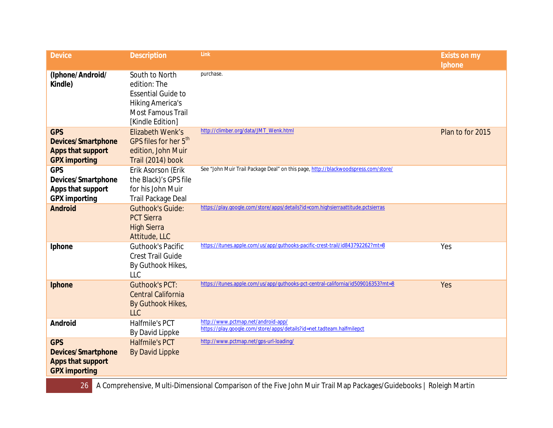| <b>Device</b>                                                                        | <b>Description</b>                                                                                                              | Link                                                                                                        | <b>Exists on my</b><br>Iphone |
|--------------------------------------------------------------------------------------|---------------------------------------------------------------------------------------------------------------------------------|-------------------------------------------------------------------------------------------------------------|-------------------------------|
| (Iphone/Android/<br>Kindle)                                                          | South to North<br>edition: The<br><b>Essential Guide to</b><br><b>Hiking America's</b><br>Most Famous Trail<br>[Kindle Edition] | purchase.                                                                                                   |                               |
| <b>GPS</b><br><b>Devices/Smartphone</b><br>Apps that support<br><b>GPX importing</b> | <b>Elizabeth Wenk's</b><br>GPS files for her 5 <sup>th</sup><br>edition, John Muir<br>Trail (2014) book                         | http://climber.org/data/JMT_Wenk.html                                                                       | Plan to for 2015              |
| <b>GPS</b><br>Devices/Smartphone<br>Apps that support<br><b>GPX</b> importing        | Erik Asorson (Erik<br>the Black)'s GPS file<br>for his John Muir<br>Trail Package Deal                                          | See "John Muir Trail Package Deal" on this page, http://blackwoodspress.com/store/                          |                               |
| <b>Android</b>                                                                       | <b>Guthook's Guide:</b><br><b>PCT Sierra</b><br><b>High Sierra</b><br>Attitude, LLC                                             | https://play.google.com/store/apps/details?id=com.highsierraattitude.pctsierras                             |                               |
| Iphone                                                                               | <b>Guthook's Pacific</b><br><b>Crest Trail Guide</b><br>By Guthook Hikes,<br><b>LLC</b>                                         | https://itunes.apple.com/us/app/guthooks-pacific-crest-trail/id843792262?mt=8                               | Yes                           |
| Iphone                                                                               | <b>Guthook's PCT:</b><br><b>Central California</b><br>By Guthook Hikes,<br><b>LLC</b>                                           | https://itunes.apple.com/us/app/guthooks-pct-central-california/id509016353?mt=8                            | Yes                           |
| Android                                                                              | Halfmile's PCT<br>By David Lippke                                                                                               | http://www.pctmap.net/android-app/<br>https://play.google.com/store/apps/details?id=net.tadteam.halfmilepct |                               |
| <b>GPS</b><br><b>Devices/Smartphone</b><br>Apps that support<br><b>GPX</b> importing | <b>Halfmile's PCT</b><br><b>By David Lippke</b>                                                                                 | http://www.pctmap.net/gps-url-loading/                                                                      |                               |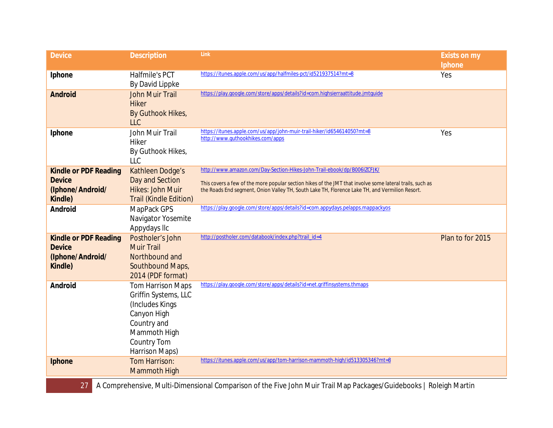| <b>Device</b>                                                                | <b>Description</b>                                                                                                                                         | Link                                                                                                                                                                                                                                                                                  | <b>Exists on my</b><br>Iphone |
|------------------------------------------------------------------------------|------------------------------------------------------------------------------------------------------------------------------------------------------------|---------------------------------------------------------------------------------------------------------------------------------------------------------------------------------------------------------------------------------------------------------------------------------------|-------------------------------|
| Iphone                                                                       | Halfmile's PCT<br>By David Lippke                                                                                                                          | https://itunes.apple.com/us/app/halfmiles-pct/id521937514?mt=8                                                                                                                                                                                                                        | Yes                           |
| <b>Android</b>                                                               | <b>John Muir Trail</b><br><b>Hiker</b><br>By Guthook Hikes,<br>LLC                                                                                         | https://play.google.com/store/apps/details?id=com.highsierraattitude.jmtquide                                                                                                                                                                                                         |                               |
| Iphone                                                                       | John Muir Trail<br><b>Hiker</b><br>By Guthook Hikes,<br>LLC                                                                                                | https://itunes.apple.com/us/app/john-muir-trail-hiker/id654614050?mt=8<br>http://www.guthookhikes.com/apps                                                                                                                                                                            | Yes                           |
| <b>Kindle or PDF Reading</b><br><b>Device</b><br>(Iphone/Android/<br>Kindle) | Kathleen Dodge's<br>Day and Section<br>Hikes: John Muir<br><b>Trail (Kindle Edition)</b>                                                                   | http://www.amazon.com/Day-Section-Hikes-John-Trail-ebook/dp/B006IZCFJK/<br>This covers a few of the more popular section hikes of the JMT that involve some lateral trails, such as<br>the Roads End segment, Onion Valley TH, South Lake TH, Florence Lake TH, and Vermilion Resort. |                               |
| Android                                                                      | MapPack GPS<br>Navigator Yosemite<br>Appydays IIc                                                                                                          | https://play.google.com/store/apps/details?id=com.appydays.pelapps.mappackyos                                                                                                                                                                                                         |                               |
| <b>Kindle or PDF Reading</b><br><b>Device</b><br>(Iphone/Android/<br>Kindle) | Postholer's John<br><b>Muir Trail</b><br>Northbound and<br>Southbound Maps,<br>2014 (PDF format)                                                           | http://postholer.com/databook/index.php?trail_id=4                                                                                                                                                                                                                                    | Plan to for 2015              |
| Android                                                                      | <b>Tom Harrison Maps</b><br>Griffin Systems, LLC<br>(Includes Kings)<br>Canyon High<br>Country and<br>Mammoth High<br><b>Country Tom</b><br>Harrison Maps) | https://play.google.com/store/apps/details?id=net.griffinsystems.thmaps                                                                                                                                                                                                               |                               |
| Iphone                                                                       | Tom Harrison:<br><b>Mammoth High</b>                                                                                                                       | https://itunes.apple.com/us/app/tom-harrison-mammoth-high/id513305346?mt=8                                                                                                                                                                                                            |                               |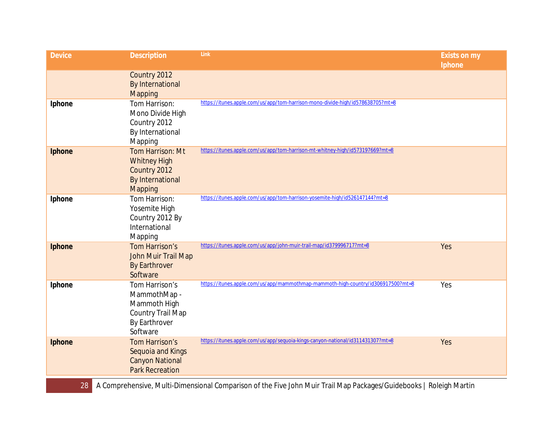| <b>Device</b> | <b>Description</b>                                                                                      | Link                                                                             | <b>Exists on my</b><br>Iphone |
|---------------|---------------------------------------------------------------------------------------------------------|----------------------------------------------------------------------------------|-------------------------------|
|               | Country 2012<br><b>By International</b><br>Mapping                                                      |                                                                                  |                               |
| Iphone        | Tom Harrison:<br>Mono Divide High<br>Country 2012<br>By International<br>Mapping                        | https://itunes.apple.com/us/app/tom-harrison-mono-divide-high/id578638705?mt=8   |                               |
| Iphone        | Tom Harrison: Mt<br><b>Whitney High</b><br>Country 2012<br><b>By International</b><br>Mapping           | https://itunes.apple.com/us/app/tom-harrison-mt-whitney-high/id573197669?mt=8    |                               |
| Iphone        | Tom Harrison:<br>Yosemite High<br>Country 2012 By<br>International<br>Mapping                           | https://itunes.apple.com/us/app/tom-harrison-yosemite-high/id526147144?mt=8      |                               |
| Iphone        | Tom Harrison's<br>John Muir Trail Map<br><b>By Earthrover</b><br>Software                               | https://itunes.apple.com/us/app/john-muir-trail-map/id379996717?mt=8             | Yes                           |
| Iphone        | Tom Harrison's<br>MammothMap -<br>Mammoth High<br><b>Country Trail Map</b><br>By Earthrover<br>Software | https://itunes.apple.com/us/app/mammothmap-mammoth-high-country/id306917500?mt=8 | Yes                           |
| Iphone        | Tom Harrison's<br>Sequoia and Kings<br><b>Canyon National</b><br><b>Park Recreation</b>                 | https://itunes.apple.com/us/app/sequoia-kings-canyon-national/id311431307?mt=8   | Yes                           |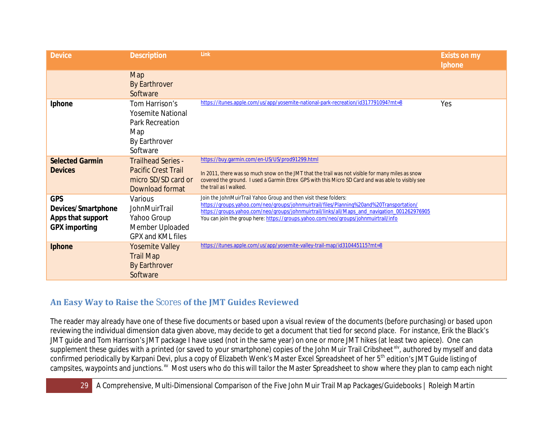| <b>Device</b>                                                                 | <b>Description</b>                                                                                       | Link                                                                                                                                                                                                                                                                                                                                                | <b>Exists on my</b><br>Iphone |
|-------------------------------------------------------------------------------|----------------------------------------------------------------------------------------------------------|-----------------------------------------------------------------------------------------------------------------------------------------------------------------------------------------------------------------------------------------------------------------------------------------------------------------------------------------------------|-------------------------------|
|                                                                               | Map<br><b>By Earthrover</b><br>Software                                                                  |                                                                                                                                                                                                                                                                                                                                                     |                               |
| Iphone                                                                        | Tom Harrison's<br><b>Yosemite National</b><br><b>Park Recreation</b><br>Map<br>By Earthrover<br>Software | https://itunes.apple.com/us/app/yosemite-national-park-recreation/id317791094?mt=8                                                                                                                                                                                                                                                                  | Yes                           |
| <b>Selected Garmin</b>                                                        | <b>Trailhead Series -</b>                                                                                | https://buy.garmin.com/en-US/US/prod91299.html                                                                                                                                                                                                                                                                                                      |                               |
| <b>Devices</b>                                                                | <b>Pacific Crest Trail</b><br>micro SD/SD card or<br>Download format                                     | In 2011, there was so much snow on the JMT that the trail was not visible for many miles as snow<br>covered the ground. I used a Garmin Etrex GPS with this Micro SD Card and was able to visibly see<br>the trail as I walked.                                                                                                                     |                               |
| <b>GPS</b><br>Devices/Smartphone<br>Apps that support<br><b>GPX</b> importing | Various<br>JohnMuirTrail<br>Yahoo Group<br>Member Uploaded<br>GPX and KML files                          | Join the JohnMuirTrail Yahoo Group and then visit these folders:<br>https://groups.yahoo.com/neo/groups/johnmuirtrail/files/Planning%20and%20Transportation/<br>https://groups.yahoo.com/neo/groups/johnmuirtrail/links/all/Maps_and_navigation_001262976905<br>You can join the group here: https://groups.yahoo.com/neo/groups/johnmuirtrail/info |                               |
| Iphone                                                                        | <b>Yosemite Valley</b><br><b>Trail Map</b><br><b>By Earthrover</b><br>Software                           | https://itunes.apple.com/us/app/yosemite-valley-trail-map/id310445115?mt=8                                                                                                                                                                                                                                                                          |                               |

# <span id="page-28-0"></span>**An Easy Way to Raise the** Scores **of the JMT Guides Reviewed**

The reader may already have one of these five documents or based upon a visual review of the documents (before purchasing) or based upon reviewing the individual dimension data given above, may decide to get a document that tied for second place. For instance, Erik the Black's JMT guide and Tom Harrison's JMT package I have used (not in the same year) on one or more JMT hikes (at least two apiece). One can supplement these guides with a printed (or saved to your smartphone) copies of the John Muir Trail Cribsheet<sup>xiv</sup>, authored by myself and data confirmed periodically by Karpani Devi, plus a copy of Elizabeth Wenk's Master Excel Spreadsheet of her 5<sup>th</sup> edition's JMT Guide listing of campsites, waypoints and junctions.<sup>xv</sup> Most users who do this will tailor the Master Spreadsheet to show where they plan to camp each night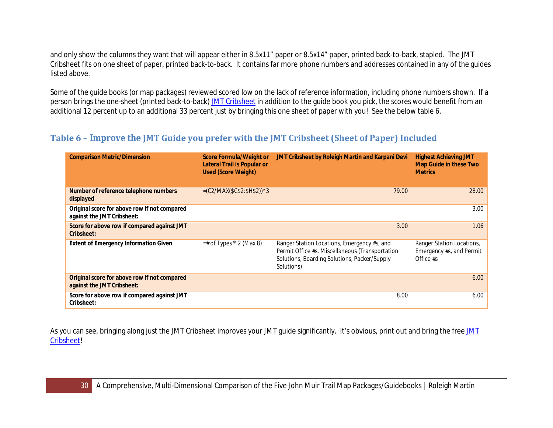and only show the columns they want that will appear either in 8.5x11" paper or 8.5x14" paper, printed back-to-back, stapled. The JMT Cribsheet fits on one sheet of paper, printed back-to-back. It contains far more phone numbers and addresses contained in any of the guides listed above.

Some of the guide books (or map packages) reviewed scored low on the lack of reference information, including phone numbers shown. If a person brings the one-sheet (printed back-to-back[\) JMT Cribsheet](http://climber.org/data/JMTCribSheet.pdf) in addition to the guide book you pick, the scores would benefit from an additional 12 percent up to an additional 33 percent just by bringing this one sheet of paper with you! See the below table 6.

## <span id="page-29-0"></span>**Table 6 – Improve the JMT Guide you prefer with the JMT Cribsheet (Sheet of Paper) Included**

| <b>Comparison Metric/Dimension</b>                                         | <b>Score Formula/Weight or</b><br><b>Lateral Trail is Popular or</b><br><b>Used (Score Weight)</b> | JMT Cribsheet by Roleigh Martin and Karpani Devi                                                                                                             | <b>Highest Achieving JMT</b><br><b>Map Guide in these Two</b><br><b>Metrics</b> |
|----------------------------------------------------------------------------|----------------------------------------------------------------------------------------------------|--------------------------------------------------------------------------------------------------------------------------------------------------------------|---------------------------------------------------------------------------------|
| Number of reference telephone numbers<br>displayed                         | $=(C2/MAX($C$2:$H$2))*3$                                                                           | 79.00                                                                                                                                                        | 28.00                                                                           |
| Original score for above row if not compared<br>against the JMT Cribsheet: |                                                                                                    |                                                                                                                                                              | 3.00                                                                            |
| Score for above row if compared against JMT<br>Cribsheet:                  |                                                                                                    | 3.00                                                                                                                                                         | 1.06                                                                            |
| <b>Extent of Emergency Information Given</b>                               | $=$ # of Types $*$ 2 (Max 8)                                                                       | Ranger Station Locations, Emergency #s, and<br>Permit Office #s, Miscellaneous (Transportation<br>Solutions, Boarding Solutions, Packer/Supply<br>Solutions) | Ranger Station Locations,<br>Emergency #s, and Permit<br>Office $#s$            |
| Original score for above row if not compared<br>against the JMT Cribsheet: |                                                                                                    |                                                                                                                                                              | 6.00                                                                            |
| Score for above row if compared against JMT<br>Cribsheet:                  |                                                                                                    | 8.00                                                                                                                                                         | 6.00                                                                            |

As you can see, bringing along just the [JMT](http://climber.org/data/JMTCribSheet.pdf) Cribsheet improves your JMT guide significantly. It's obvious, print out and bring the free JMT [Cribsheet!](http://climber.org/data/JMTCribSheet.pdf)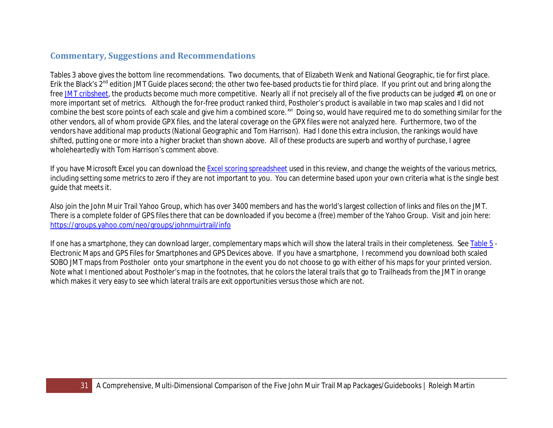### <span id="page-30-0"></span>**Commentary, Suggestions and Recommendations**

Tables 3 above gives the bottom line recommendations. Two documents, that of Elizabeth Wenk and National Geographic, tie for first place. Erik the Black's 2<sup>nd</sup> edition JMT Guide places second; the other two fee-based products tie for third place. If you print out and bring along the fre[e JMT cribsheet,](http://climber.org/data/JMTCribSheet.pdf) the products become much more competitive. Nearly all if not precisely all of the five products can be judged #1 on one or more important set of metrics. Although the for-free product ranked third, Postholer's product is available in two map scales and I did not combine the best score points of each scale and give him a combined score.<sup>[xvi](#page-33-12)</sup> Doing so, would have required me to do something similar for the other vendors, all of whom provide GPX files, and the lateral coverage on the GPX files were not analyzed here. Furthermore, two of the vendors have additional map products (National Geographic and Tom Harrison). Had I done this extra inclusion, the rankings would have shifted, putting one or more into a higher bracket than shown above. All of these products are superb and worthy of purchase, I agree wholeheartedly with Tom Harrison's comment above.

If you have Microsoft Excel you can download the **Excel scoring spreadsheet** used in this review, and change the weights of the various metrics, including setting some metrics to zero if they are not important to you. You can determine based upon your own criteria what is the single best guide that meets it.

Also join the John Muir Trail Yahoo Group, which has over 3400 members and has the world's largest collection of links and files on the JMT. There is a complete folder of GPS files there that can be downloaded if you become a (free) member of the Yahoo Group. Visit and join here: <https://groups.yahoo.com/neo/groups/johnmuirtrail/info>

If one has a smartphone, they can download larger, complementary maps which will show the lateral trails in their completeness. See [Table 5](#page-24-0) - Electronic Maps and GPS Files for Smartphones and GPS Devices above. If you have a smartphone, I recommend you download both scaled SOBO JMT maps from Postholer onto your smartphone in the event you do not choose to go with either of his maps for your printed version. Note what I mentioned about Postholer's map in the footnotes, that he colors the lateral trails that go to Trailheads from the JMT in orange which makes it very easy to see which lateral trails are exit opportunities versus those which are not.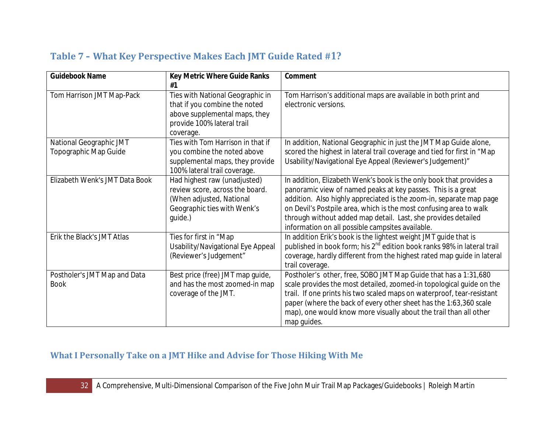| <b>Guidebook Name</b>                            | Key Metric Where Guide Ranks<br>#1                                                                                                            | Comment                                                                                                                                                                                                                                                                                                                                                                                               |
|--------------------------------------------------|-----------------------------------------------------------------------------------------------------------------------------------------------|-------------------------------------------------------------------------------------------------------------------------------------------------------------------------------------------------------------------------------------------------------------------------------------------------------------------------------------------------------------------------------------------------------|
| Tom Harrison JMT Map-Pack                        | Ties with National Geographic in<br>that if you combine the noted<br>above supplemental maps, they<br>provide 100% lateral trail<br>coverage. | Tom Harrison's additional maps are available in both print and<br>electronic versions.                                                                                                                                                                                                                                                                                                                |
| National Geographic JMT<br>Topographic Map Guide | Ties with Tom Harrison in that if<br>you combine the noted above<br>supplemental maps, they provide<br>100% lateral trail coverage.           | In addition, National Geographic in just the JMT Map Guide alone,<br>scored the highest in lateral trail coverage and tied for first in "Map<br>Usability/Navigational Eye Appeal (Reviewer's Judgement)"                                                                                                                                                                                             |
| Elizabeth Wenk's JMT Data Book                   | Had highest raw (unadjusted)<br>review score, across the board.<br>(When adjusted, National<br>Geographic ties with Wenk's<br>guide.)         | In addition, Elizabeth Wenk's book is the only book that provides a<br>panoramic view of named peaks at key passes. This is a great<br>addition. Also highly appreciated is the zoom-in, separate map page<br>on Devil's Postpile area, which is the most confusing area to walk<br>through without added map detail. Last, she provides detailed<br>information on all possible campsites available. |
| Erik the Black's JMT Atlas                       | Ties for first in "Map<br>Usability/Navigational Eye Appeal<br>(Reviewer's Judgement"                                                         | In addition Erik's book is the lightest weight JMT guide that is<br>published in book form; his 2 <sup>nd</sup> edition book ranks 98% in lateral trail<br>coverage, hardly different from the highest rated map guide in lateral<br>trail coverage.                                                                                                                                                  |
| Postholer's JMT Map and Data<br><b>Book</b>      | Best price (free) JMT map guide,<br>and has the most zoomed-in map<br>coverage of the JMT.                                                    | Postholer's other, free, SOBO JMT Map Guide that has a 1:31,680<br>scale provides the most detailed, zoomed-in topological guide on the<br>trail. If one prints his two scaled maps on waterproof, tear-resistant<br>paper (where the back of every other sheet has the 1:63,360 scale<br>map), one would know more visually about the trail than all other<br>map guides.                            |

# <span id="page-31-0"></span>**Table 7 – What Key Perspective Makes Each JMT Guide Rated #1?**

# <span id="page-31-1"></span>**What I Personally Take on a JMT Hike and Advise for Those Hiking With Me**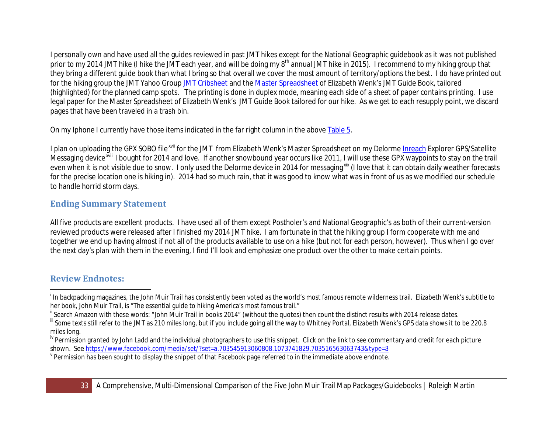<span id="page-32-4"></span><span id="page-32-3"></span><span id="page-32-2"></span>I personally own and have used all the guides reviewed in past JMT hikes except for the National Geographic guidebook as it was not published prior to my 2014 JMT hike (I hike the JMT each year, and will be doing my 8<sup>th</sup> annual JMT hike in 2015). I recommend to my hiking group that they bring a different guide book than what I bring so that overall we cover the most amount of territory/options the best. I do have printed out for the hiking group the JMT Yahoo Grou[p JMT Cribsheet](http://climber.org/data/JMTCribSheet.pdf) and the [Master Spreadsheet](http://climber.org/data/JMT_Wenk.html) of Elizabeth Wenk's JMT Guide Book, tailored (highlighted) for the planned camp spots. The printing is done in duplex mode, meaning each side of a sheet of paper contains printing. I use legal paper for the Master Spreadsheet of Elizabeth Wenk's JMT Guide Book tailored for our hike. As we get to each resupply point, we discard pages that have been traveled in a trash bin.

On my Iphone I currently have those items indicated in the far right column in the above [Table](#page-24-0) 5.

I plan on uploading [th](#page-33-14)e GPX SOBO file<sup>[xvii](#page-33-13)</sup> for the JMT from Elizabeth Wenk's Master Spreadsheet on my Delorm[e Inreach](http://www.inreachdelorme.com/) Explorer GPS/Satellite Messaging device<sup>xviii</sup> I bought for 2014 and love. If another snowbound year occurs like 2011, I will use these GPX waypoints to stay on the trail even when it is not visible due to snow. I only used the Delorme device in 2014 for messaging<sup>[xix](#page-33-15)</sup> (I love that it can obtain daily weather forecasts for the precise location one is hiking in). 2014 had so much rain, that it was good to know what was in front of us as we modified our schedule to handle horrid storm days.

# <span id="page-32-0"></span>**Ending Summary Statement**

All five products are excellent products. I have used all of them except Postholer's and National Geographic's as both of their current-version reviewed products were released after I finished my 2014 JMT hike. I am fortunate in that the hiking group I form cooperate with me and together we end up having almost if not all of the products available to use on a hike (but not for each person, however). Thus when I go over the next day's plan with them in the evening, I find I'll look and emphasize one product over the other to make certain points.

# <span id="page-32-1"></span>**Review Endnotes:**

i <sup>1</sup> In backpacking magazines, the John Muir Trail has consistently been voted as the world's most famous remote wilderness trail. Elizabeth Wenk's subtitle to her book, John Muir Trail, is "The essential guide to hiking America's most famous trail."

<sup>&</sup>lt;sup>"</sup> Search Amazon with these words: "John Muir Trail in books 2014" (without the quotes) then count the distinct results with 2014 release dates.

<sup>&</sup>quot;Some texts still refer to the JMT as 210 miles long, but if you include going all the way to Whitney Portal, Elizabeth Wenk's GPS data shows it to be 220.8 miles long.

<sup>&</sup>lt;sup>iv</sup> Permission granted by John Ladd and the individual photographers to use this snippet. Click on the link to see commentary and credit for each picture<br>shown. See https://www.facebook.com/media/set/?set=a.70354591306080

 $\degree$  Permission has been sought to display the snippet of that Facebook page referred to in the immediate above endnote.